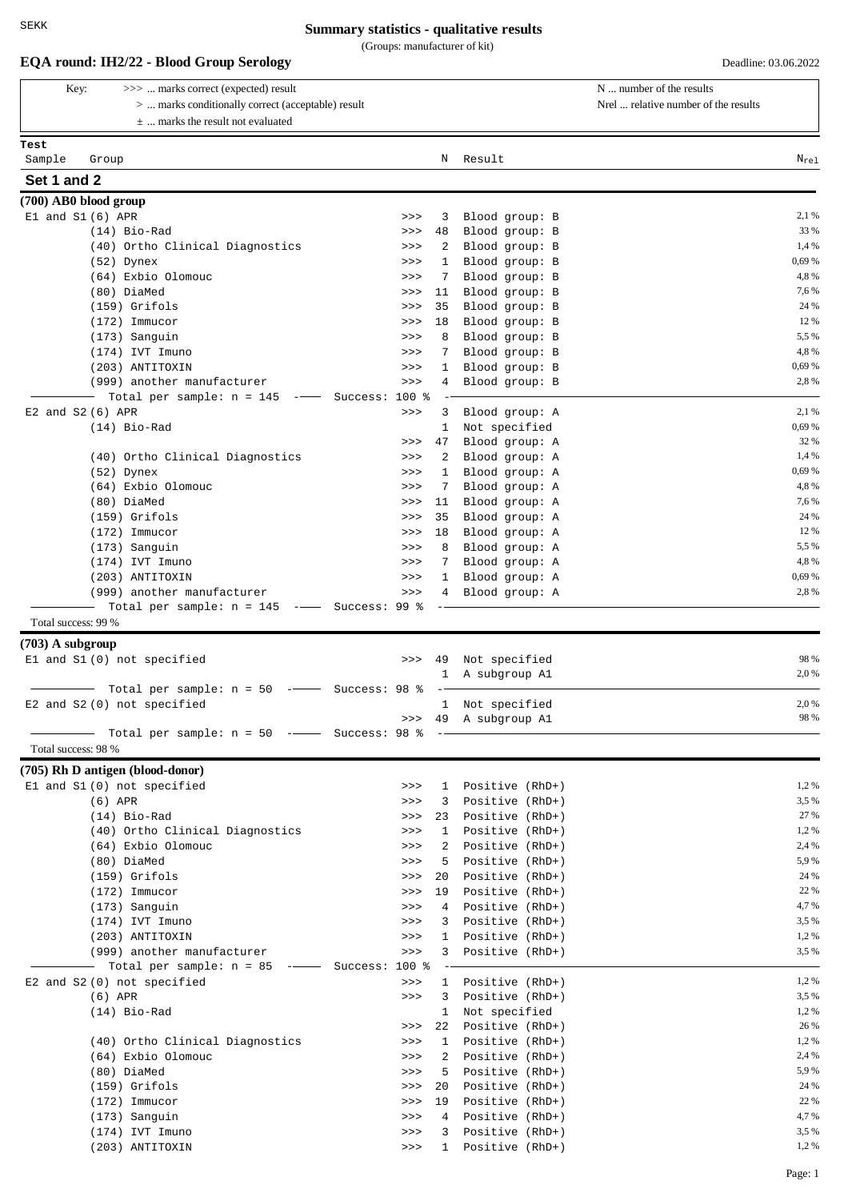| Key:                 | >>>  marks correct (expected) result                                                                                                                                                                                                                                                                                                                                                                                                                 |                   |                  |                    |                                    | N  number of the results             |
|----------------------|------------------------------------------------------------------------------------------------------------------------------------------------------------------------------------------------------------------------------------------------------------------------------------------------------------------------------------------------------------------------------------------------------------------------------------------------------|-------------------|------------------|--------------------|------------------------------------|--------------------------------------|
|                      | >  marks conditionally correct (acceptable) result<br>$\pm$ marks the result not evaluated                                                                                                                                                                                                                                                                                                                                                           |                   |                  |                    |                                    | Nrel  relative number of the results |
| Test                 |                                                                                                                                                                                                                                                                                                                                                                                                                                                      |                   |                  |                    |                                    |                                      |
| Sample               | Group                                                                                                                                                                                                                                                                                                                                                                                                                                                |                   |                  | Ν                  | Result                             | $N_{re1}$                            |
| Set 1 and 2          |                                                                                                                                                                                                                                                                                                                                                                                                                                                      |                   |                  |                    |                                    |                                      |
|                      | (700) AB0 blood group                                                                                                                                                                                                                                                                                                                                                                                                                                |                   |                  |                    |                                    |                                      |
| $E1$ and $S1(6)$ APR |                                                                                                                                                                                                                                                                                                                                                                                                                                                      |                   | >>               | 3                  | Blood group: B                     | 2,1 %<br>33 %                        |
|                      | $(14)$ Bio-Rad<br>(40) Ortho Clinical Diagnostics                                                                                                                                                                                                                                                                                                                                                                                                    |                   | >><br>>>         | 48<br>2            | Blood group: B<br>Blood group: B   | 1,4 %                                |
|                      | $(52)$ Dynex                                                                                                                                                                                                                                                                                                                                                                                                                                         |                   | >>               | $\mathbf{1}$       | Blood group: B                     | 0,69 %                               |
|                      | (64) Exbio Olomouc                                                                                                                                                                                                                                                                                                                                                                                                                                   |                   | >>               | 7                  | Blood group: B                     | 4,8%                                 |
|                      | (80) DiaMed                                                                                                                                                                                                                                                                                                                                                                                                                                          |                   | >>               | 11                 | Blood group: B                     | 7,6%                                 |
|                      | (159) Grifols                                                                                                                                                                                                                                                                                                                                                                                                                                        |                   | >>               | 35                 | Blood group: B                     | 24 %                                 |
|                      | $(172)$ Immucor                                                                                                                                                                                                                                                                                                                                                                                                                                      |                   | >>               | 18                 | Blood group: B                     | 12 %                                 |
|                      | (173) Sanguin                                                                                                                                                                                                                                                                                                                                                                                                                                        |                   | >>               | 8                  | Blood group: B                     | 5,5 %                                |
|                      | (174) IVT Imuno                                                                                                                                                                                                                                                                                                                                                                                                                                      |                   | >>               | 7                  | Blood group: B                     | 4,8%                                 |
|                      | (203) ANTITOXIN<br>(999) another manufacturer                                                                                                                                                                                                                                                                                                                                                                                                        |                   | >><br>>>         | 1<br>4             | Blood group: B<br>Blood group: B   | 0,69 %<br>2,8%                       |
|                      | Total per sample: $n = 145$<br>$\frac{1}{1-\frac{1}{1-\frac{1}{1-\frac{1}{1-\frac{1}{1-\frac{1}{1-\frac{1}{1-\frac{1}{1-\frac{1}{1-\frac{1}{1-\frac{1}{1-\frac{1}{1-\frac{1}{1-\frac{1}{1-\frac{1}{1-\frac{1}{1-\frac{1}{1-\frac{1}{1-\frac{1}{1-\frac{1}{1-\frac{1}{1-\frac{1}{1-\frac{1}{1-\frac{1}{1-\frac{1}{1-\frac{1}{1-\frac{1}{1-\frac{1}{1-\frac{1}{1-\frac{1}{1-\frac{1}{1-\frac{1}{1-\frac{1}{1-\frac{1}{1-\frac{1}{1-\frac{1}{1-\frac{1$ | Success:          | $100*$           |                    |                                    |                                      |
| E2 and S2 (6) APR    |                                                                                                                                                                                                                                                                                                                                                                                                                                                      |                   | >>               | 3                  | Blood group: A                     | 2,1 %                                |
|                      | $(14)$ Bio-Rad                                                                                                                                                                                                                                                                                                                                                                                                                                       |                   |                  | 1                  | Not specified                      | 0,69 %                               |
|                      |                                                                                                                                                                                                                                                                                                                                                                                                                                                      |                   | >>               | 47                 | Blood group: A                     | 32 %                                 |
|                      | (40) Ortho Clinical Diagnostics                                                                                                                                                                                                                                                                                                                                                                                                                      |                   | >>               | 2                  | Blood group: A                     | 1,4 %                                |
|                      | $(52)$ Dynex                                                                                                                                                                                                                                                                                                                                                                                                                                         |                   | >>               | 1                  | Blood group: A                     | 0,69 %                               |
|                      | (64) Exbio Olomouc                                                                                                                                                                                                                                                                                                                                                                                                                                   |                   | >>               | 7                  | Blood group: A                     | 4,8%                                 |
|                      | (80) DiaMed                                                                                                                                                                                                                                                                                                                                                                                                                                          |                   | >>               | 11                 | Blood group: A                     | 7,6 %<br>24 %                        |
|                      | $(159)$ Grifols<br>$(172)$ Immucor                                                                                                                                                                                                                                                                                                                                                                                                                   |                   | >><br>>>         | 35<br>18           | Blood group: A<br>Blood group: A   | 12 %                                 |
|                      | (173) Sanguin                                                                                                                                                                                                                                                                                                                                                                                                                                        |                   | >>               | 8                  | Blood group: A                     | 5,5 %                                |
|                      | $(174)$ IVT Imuno                                                                                                                                                                                                                                                                                                                                                                                                                                    |                   | >>               | 7                  | Blood group: A                     | 4,8%                                 |
|                      | (203) ANTITOXIN                                                                                                                                                                                                                                                                                                                                                                                                                                      |                   | >>               | $\mathbf{1}$       | Blood group: A                     | 0,69 %                               |
|                      | (999) another manufacturer                                                                                                                                                                                                                                                                                                                                                                                                                           |                   | >>               | 4                  | Blood group: A                     | 2,8%                                 |
|                      | Total per sample: $n = 145$ -- Success: 99 %                                                                                                                                                                                                                                                                                                                                                                                                         |                   |                  |                    |                                    |                                      |
| Total success: 99 %  |                                                                                                                                                                                                                                                                                                                                                                                                                                                      |                   |                  |                    |                                    |                                      |
| $(703)$ A subgroup   |                                                                                                                                                                                                                                                                                                                                                                                                                                                      |                   |                  |                    |                                    |                                      |
|                      | El and S1 (0) not specified                                                                                                                                                                                                                                                                                                                                                                                                                          |                   | >>               | 49                 | Not specified                      | 98 %                                 |
|                      | Total per sample: $n = 50$                                                                                                                                                                                                                                                                                                                                                                                                                           | --- Success: 98 % |                  | 1                  | A subgroup Al                      | 2,0%                                 |
|                      | E2 and S2 (0) not specified                                                                                                                                                                                                                                                                                                                                                                                                                          |                   |                  |                    | 1 Not specified                    | 2,0 %                                |
|                      |                                                                                                                                                                                                                                                                                                                                                                                                                                                      |                   |                  |                    | >>> 49 A subgroup A1               | 98 %                                 |
|                      | Total per sample: $n = 50$ -- Success: 98 %                                                                                                                                                                                                                                                                                                                                                                                                          |                   |                  |                    |                                    |                                      |
| Total success: 98 %  |                                                                                                                                                                                                                                                                                                                                                                                                                                                      |                   |                  |                    |                                    |                                      |
|                      | (705) Rh D antigen (blood-donor)                                                                                                                                                                                                                                                                                                                                                                                                                     |                   |                  |                    |                                    |                                      |
|                      | El and S1 (0) not specified                                                                                                                                                                                                                                                                                                                                                                                                                          |                   | >>               | $\mathbf{1}$       | Positive (RhD+)                    | 1,2%                                 |
|                      | $(6)$ APR                                                                                                                                                                                                                                                                                                                                                                                                                                            |                   | >>               | 3                  | Positive (RhD+)                    | 3,5 %                                |
|                      | $(14)$ Bio-Rad<br>(40) Ortho Clinical Diagnostics                                                                                                                                                                                                                                                                                                                                                                                                    |                   | $>>>$            | 23<br>$\mathbf{1}$ | Positive (RhD+)                    | 27 %<br>1,2%                         |
|                      | (64) Exbio Olomouc                                                                                                                                                                                                                                                                                                                                                                                                                                   |                   | >><br>>>         | 2                  | Positive (RhD+)<br>Positive (RhD+) | 2,4 %                                |
|                      | (80) DiaMed                                                                                                                                                                                                                                                                                                                                                                                                                                          |                   | >>               | 5                  | Positive (RhD+)                    | 5,9%                                 |
|                      | $(159)$ Grifols                                                                                                                                                                                                                                                                                                                                                                                                                                      |                   | >>               | 20                 | Positive (RhD+)                    | 24 %                                 |
|                      | $(172)$ Immucor                                                                                                                                                                                                                                                                                                                                                                                                                                      |                   | >>               | 19                 | Positive (RhD+)                    | 22 %                                 |
|                      | (173) Sanguin                                                                                                                                                                                                                                                                                                                                                                                                                                        |                   | >>               | 4                  | Positive (RhD+)                    | 4,7 %                                |
|                      | $(174)$ IVT Imuno                                                                                                                                                                                                                                                                                                                                                                                                                                    |                   | $>>>$            | 3                  | Positive (RhD+)                    | 3,5 %                                |
|                      | (203) ANTITOXIN                                                                                                                                                                                                                                                                                                                                                                                                                                      |                   | >>               | $\mathbf{1}$       | Positive (RhD+)                    | 1,2%                                 |
|                      | (999) another manufacturer                                                                                                                                                                                                                                                                                                                                                                                                                           |                   | $>>>$            | 3                  | Positive (RhD+)                    | 3,5 %                                |
|                      | Total per sample: $n = 85$ -- Success:<br>E2 and S2 (0) not specified                                                                                                                                                                                                                                                                                                                                                                                |                   | $100$ %<br>$>>>$ | $\mathbf{1}$       | Positive (RhD+)                    | 1,2%                                 |
|                      | $(6)$ APR                                                                                                                                                                                                                                                                                                                                                                                                                                            |                   | $>>>$            | 3                  | Positive (RhD+)                    | 3,5 %                                |
|                      | $(14)$ Bio-Rad                                                                                                                                                                                                                                                                                                                                                                                                                                       |                   |                  | $\mathbf{1}$       | Not specified                      | 1,2 %                                |
|                      |                                                                                                                                                                                                                                                                                                                                                                                                                                                      |                   | >>               | 22                 | Positive (RhD+)                    | 26 %                                 |
|                      | (40) Ortho Clinical Diagnostics                                                                                                                                                                                                                                                                                                                                                                                                                      |                   | >>               | $\mathbf{1}$       | Positive (RhD+)                    | 1,2%                                 |
|                      | (64) Exbio Olomouc                                                                                                                                                                                                                                                                                                                                                                                                                                   |                   | >>               | 2                  | Positive (RhD+)                    | 2,4 %                                |
|                      | (80) DiaMed                                                                                                                                                                                                                                                                                                                                                                                                                                          |                   | >>               | 5                  | Positive (RhD+)                    | 5,9%                                 |
|                      | $(159)$ Grifols                                                                                                                                                                                                                                                                                                                                                                                                                                      |                   | >>               | 20                 | Positive (RhD+)                    | 24 %                                 |
|                      | $(172)$ Immucor                                                                                                                                                                                                                                                                                                                                                                                                                                      |                   | >><br>>>         | 19<br>4            | Positive (RhD+)                    | 22 %<br>4,7%                         |
|                      | (173) Sanguin                                                                                                                                                                                                                                                                                                                                                                                                                                        |                   |                  |                    | Positive (RhD+)                    |                                      |
|                      | (174) IVT Imuno                                                                                                                                                                                                                                                                                                                                                                                                                                      |                   | >>               | 3                  | Positive (RhD+)                    | 3,5 %                                |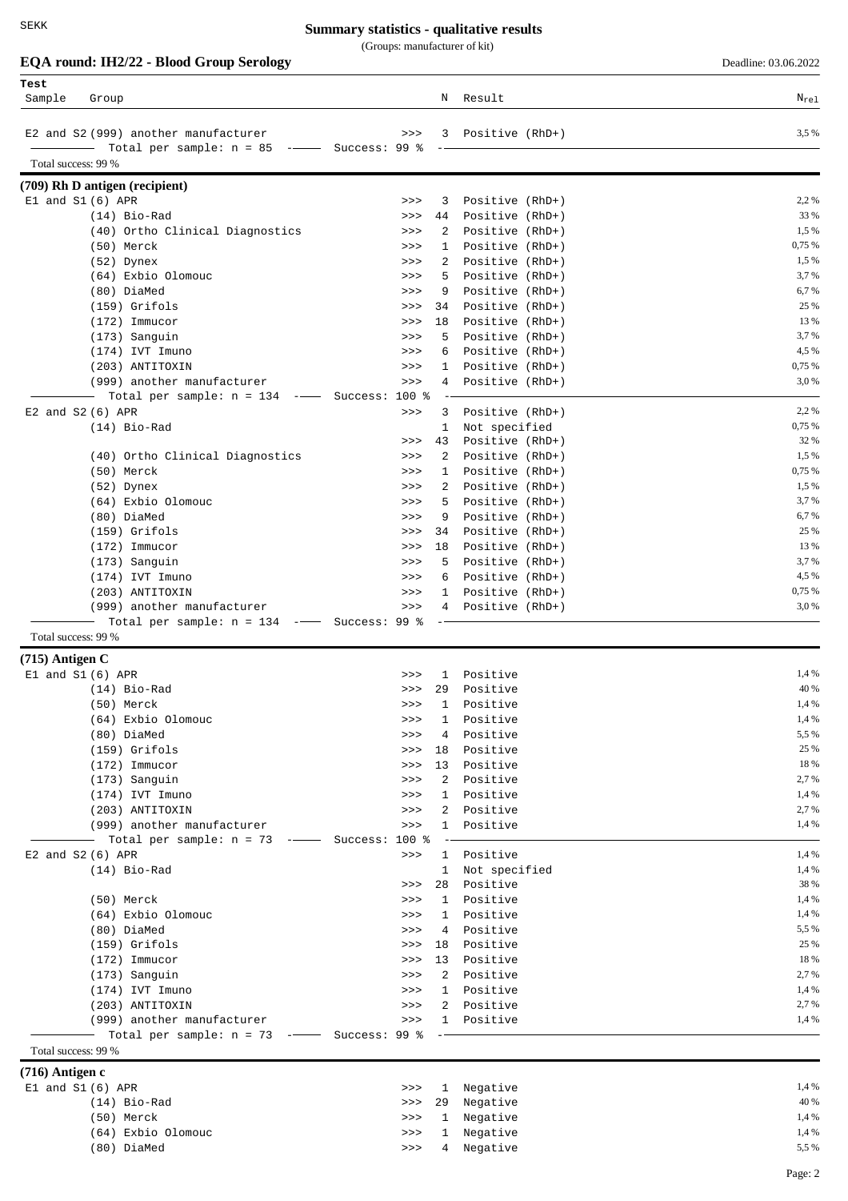(Groups: manufacturer of kit)

| Deadline: 03.06.202 |  |
|---------------------|--|

|                     | EQA round: IH2/22 - Blood Group Serology        |                |                      |                                    | Deadline: 03.06.2022 |
|---------------------|-------------------------------------------------|----------------|----------------------|------------------------------------|----------------------|
| Test                |                                                 |                |                      |                                    |                      |
| Sample              | Group                                           |                |                      | N Result                           | $N_{\rm rel}$        |
|                     |                                                 |                |                      |                                    |                      |
|                     | E2 and S2 (999) another manufacturer            | >>             |                      | Positive (RhD+)<br>3               | 3,5 %                |
| Total success: 99 % |                                                 |                |                      |                                    |                      |
|                     | (709) Rh D antigen (recipient)                  |                |                      |                                    |                      |
|                     | $E1$ and $S1(6)$ APR                            | >>             | 3                    | Positive (RhD+)                    | 2,2 %                |
|                     | $(14)$ Bio-Rad                                  | >>             | 44                   | Positive (RhD+)                    | 33 %                 |
|                     | (40) Ortho Clinical Diagnostics                 | >>             | 2                    | Positive (RhD+)                    | 1,5 %                |
|                     | (50) Merck                                      | >>             | 1                    | Positive (RhD+)                    | 0,75 %               |
|                     | $(52)$ Dynex                                    | >>             | 2                    | Positive (RhD+)                    | 1,5 %                |
|                     | (64) Exbio Olomouc                              | >>             | 5                    | Positive (RhD+)                    | 3,7%                 |
|                     | (80) DiaMed                                     | >>             | 9                    | Positive (RhD+)                    | 6,7%                 |
|                     | $(159)$ Grifols                                 | >>             | 34                   | Positive (RhD+)                    | 25 %                 |
|                     | $(172)$ Immucor                                 | >>             | 18                   | Positive (RhD+)                    | 13 %                 |
|                     | (173) Sanguin                                   | >>             | 5                    | Positive (RhD+)                    | 3,7%<br>4,5 %        |
|                     | (174) IVT Imuno<br>(203) ANTITOXIN              | >><br>>>       | 6<br>1               | Positive (RhD+)<br>Positive (RhD+) | 0,75 %               |
|                     | (999) another manufacturer                      | >>             | 4                    | Positive (RhD+)                    | 3,0%                 |
|                     | Total per sample: $n = 134$ -- Success: 100 %   |                |                      |                                    |                      |
|                     | E2 and S2 (6) APR                               | >>             | 3                    | Positive (RhD+)                    | 2,2 %                |
|                     | $(14)$ Bio-Rad                                  |                | 1                    | Not specified                      | 0,75 %               |
|                     |                                                 | >>             | 43                   | Positive (RhD+)                    | 32 %                 |
|                     | (40) Ortho Clinical Diagnostics                 | >>             | 2                    | Positive (RhD+)                    | 1,5 %                |
|                     | (50) Merck                                      | >>             | 1                    | Positive (RhD+)                    | 0,75 %               |
|                     | $(52)$ Dynex                                    | >>             | 2                    | Positive (RhD+)                    | 1,5 %                |
|                     | (64) Exbio Olomouc                              | >>             | 5                    | Positive (RhD+)                    | 3,7 %                |
|                     | (80) DiaMed                                     | >>             | 9                    | Positive (RhD+)                    | 6,7%                 |
|                     | $(159)$ Grifols<br>$(172)$ Immucor              | >><br>>>       | 34<br>18             | Positive (RhD+)<br>Positive (RhD+) | 25 %<br>13 %         |
|                     | (173) Sanguin                                   | >>             | 5                    | Positive (RhD+)                    | 3,7 %                |
|                     | $(174)$ IVT Imuno                               | >>             | 6                    | Positive (RhD+)                    | 4,5 %                |
|                     | (203) ANTITOXIN                                 | >>             | 1                    | Positive (RhD+)                    | 0,75 %               |
|                     | (999) another manufacturer                      | >>             | 4                    | Positive (RhD+)                    | 3,0%                 |
|                     | Total per sample: $n = 134$ -- Success: 99 %    |                |                      |                                    |                      |
| Total success: 99 % |                                                 |                |                      |                                    |                      |
| $(715)$ Antigen C   |                                                 |                |                      |                                    |                      |
|                     | $E1$ and $S1(6)$ APR                            | >>             | 1                    | Positive                           | 1,4 %                |
|                     | (14) Bio-Rad                                    | >>             | 29                   | Positive                           | 40 %                 |
|                     | (50) Merck                                      | $>>>$          | 1                    | Positive                           | 1,4 %                |
|                     | (64) Exbio Olomouc                              | >>             | 1                    | Positive                           | 1,4 %                |
|                     | (80) DiaMed                                     | $>>>$          | 4                    | Positive                           | 5,5 %                |
|                     | $(159)$ Grifols<br>$(172)$ Immucor              | $>>>$<br>$>>>$ | 18<br>13             | Positive<br>Positive               | 25 %<br>18 %         |
|                     | $(173)$ Sanguin                                 | $>>>$          | 2                    | Positive                           | 2,7%                 |
|                     | (174) IVT Imuno                                 | $>>>$          | 1                    | Positive                           | 1,4 %                |
|                     | (203) ANTITOXIN                                 | $>>>$          | $\mathbf{2}$         | Positive                           | 2,7 %                |
|                     | (999) another manufacturer                      | >>             | $\mathbf{1}$         | Positive                           | 1,4 %                |
|                     | - Total per sample: $n = 73$ --- Success: 100 % |                |                      |                                    |                      |
|                     | E2 and S2 (6) APR                               | $>>>$          | 1                    | Positive                           | 1,4 %                |
|                     | $(14)$ Bio-Rad                                  |                | $\mathbf{1}$         | Not specified                      | 1,4 %                |
|                     |                                                 | $>>>$          | 28                   | Positive                           | 38 %                 |
|                     | (50) Merck                                      | $>>>$          | $\mathbf{1}$         | Positive                           | 1,4 %                |
|                     | (64) Exbio Olomouc                              | $>>>$          | 1                    | Positive                           | 1,4 %                |
|                     | (80) DiaMed<br>$(159)$ Grifols                  | $>>>$<br>$>>>$ | $\overline{4}$<br>18 | Positive<br>Positive               | 5,5 %<br>25 %        |
|                     | $(172)$ Immucor                                 | $>>>$          |                      | 13 Positive                        | 18 %                 |
|                     | (173) Sanguin                                   | >>             |                      | 2 Positive                         | 2,7 %                |
|                     | (174) IVT Imuno                                 | $>>>$          |                      | 1 Positive                         | 1,4 %                |
|                     | (203) ANTITOXIN                                 | $>>>$          |                      | 2 Positive                         | 2,7%                 |
|                     | (999) another manufacturer                      | $>>>$          |                      | 1 Positive                         | 1,4 %                |
|                     | Total per sample: $n = 73$ -- Success: 99 %     |                |                      |                                    |                      |
| Total success: 99 % |                                                 |                |                      |                                    |                      |
| $(716)$ Antigen c   |                                                 |                |                      |                                    |                      |
|                     | El and S1 (6) APR                               | $>>>$          | 1                    | Negative                           | 1,4 %                |
|                     | $(14)$ Bio-Rad                                  | $>>>$          | 29                   | Negative                           | 40 %                 |
|                     | (50) Merck                                      | $>>>$          |                      | 1 Negative                         | 1,4 %                |

(64) Exbio Olomouc >>> 1 Negative 1,4 % >>> 4 Negative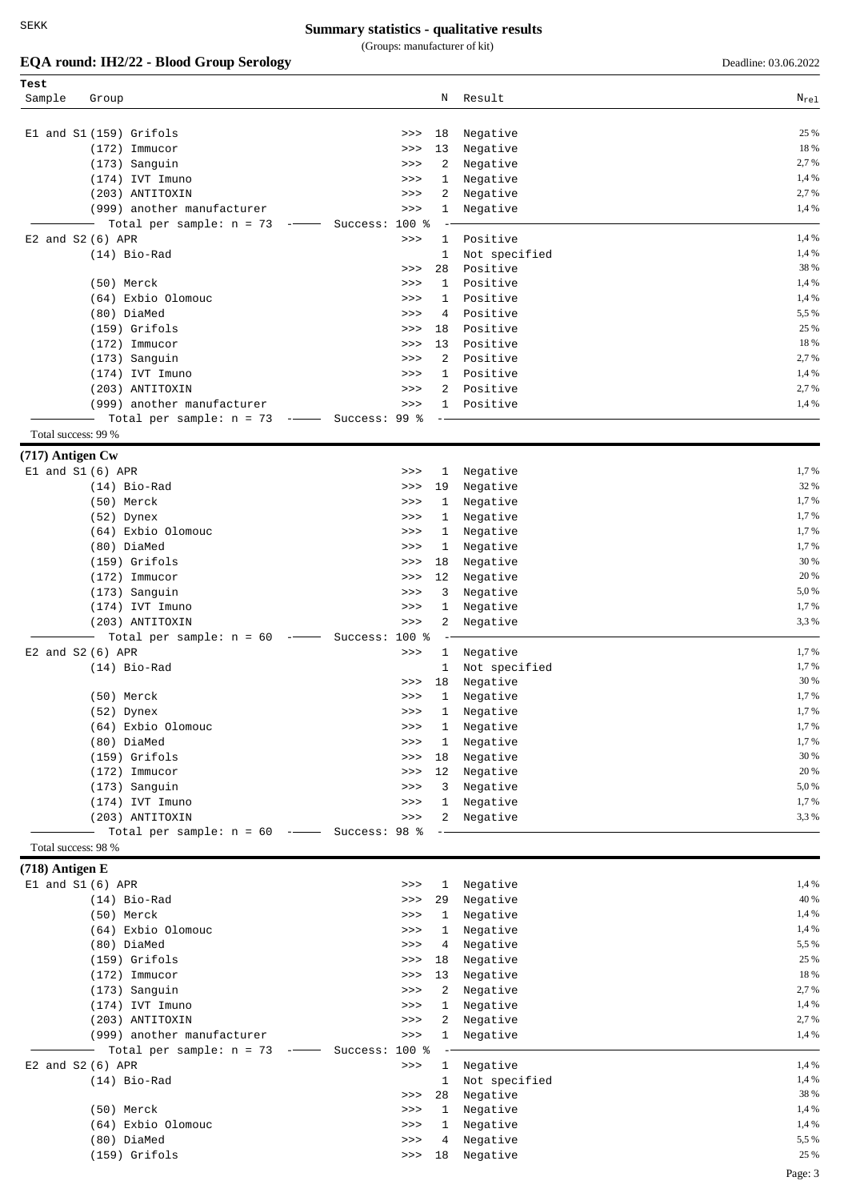#### **Summary statistics - qualitative results**

(Groups: manufacturer of kit)

|                     | EQA round: IH2/22 - Blood Group Serology                                 |                         |                      | Deadline: 03.06.2022 |
|---------------------|--------------------------------------------------------------------------|-------------------------|----------------------|----------------------|
| Test                |                                                                          |                         |                      |                      |
| Sample              | Group                                                                    | Ν                       | Result               | $N_{\rm rel}$        |
|                     |                                                                          |                         |                      |                      |
|                     | El and S1 (159) Grifols                                                  | 18<br>>>                | Negative             | 25 %                 |
|                     | $(172)$ Immucor                                                          | 13<br>>>                | Negative             | 18 %                 |
|                     | (173) Sanguin                                                            | 2<br>>>                 | Negative             | 2,7 %                |
|                     | $(174)$ IVT Imuno                                                        | 1<br>>>>                | Negative             | 1,4 %                |
|                     | (203) ANTITOXIN                                                          | 2<br>>>                 | Negative             | 2,7%                 |
|                     | (999) another manufacturer                                               | 1<br>>>                 | Negative             | 1,4 %                |
|                     | Total per sample: $n = 73$<br>$\qquad \qquad -$                          | Success: 100 %          |                      |                      |
|                     | $E2$ and $S2(6)$ APR                                                     | >><br>1                 | Positive             | 1,4 %                |
|                     | $(14)$ Bio-Rad                                                           | 1                       | Not specified        | 1,4 %                |
|                     |                                                                          | 28<br>>>                | Positive             | 38 %                 |
|                     | (50) Merck                                                               | 1<br>>>                 | Positive             | 1,4 %                |
|                     | (64) Exbio Olomouc                                                       | 1<br>>>                 | Positive             | 1,4 %                |
|                     | (80) DiaMed                                                              | 4<br>>>                 | Positive             | 5,5 %                |
|                     | $(159)$ Grifols                                                          | 18<br>>>                | Positive             | 25 %                 |
|                     | $(172)$ Immucor                                                          | 13<br>>>                | Positive             | 18 %                 |
|                     | (173) Sanguin                                                            | 2<br>>>                 | Positive             | 2,7 %                |
|                     | $(174)$ IVT Imuno                                                        | >><br>1                 | Positive             | 1,4 %                |
|                     | (203) ANTITOXIN                                                          | 2<br>>>                 | Positive             | 2,7%                 |
|                     | (999) another manufacturer                                               | >><br>1                 | Positive             | 1,4 %                |
| Total success: 99 % | Total per sample: $n = 73$ -- Success: 99 %                              |                         |                      |                      |
|                     |                                                                          |                         |                      |                      |
| (717) Antigen Cw    |                                                                          |                         |                      | 1,7%                 |
|                     | $E1$ and $S1(6)$ APR                                                     | >><br>1                 | Negative             | 32 %                 |
|                     | $(14)$ Bio-Rad                                                           | 19<br>>>>               | Negative             | 1,7 %                |
|                     | (50) Merck<br>(52) Dynex                                                 | 1<br>>>><br>1           | Negative             | 1,7 %                |
|                     | (64) Exbio Olomouc                                                       | >>><br>>><br>1          | Negative<br>Negative | 1,7 %                |
|                     | (80) DiaMed                                                              | >><br>1                 | Negative             | 1,7 %                |
|                     | $(159)$ Grifols                                                          | 18<br>>>                | Negative             | 30 %                 |
|                     | $(172)$ Immucor                                                          | 12<br>>>                | Negative             | 20 %                 |
|                     | (173) Sanguin                                                            | 3<br>>>                 | Negative             | 5,0%                 |
|                     | (174) IVT Imuno                                                          | >><br>1                 | Negative             | 1,7 %                |
|                     | (203) ANTITOXIN                                                          | 2<br>>>                 | Negative             | 3,3%                 |
|                     | Total per sample: $n = 60$                                               | $--$ Success: 100 %     |                      |                      |
|                     | $E2$ and $S2(6)$ APR                                                     | $>>>$<br>1              | Negative             | 1,7%                 |
|                     | $(14)$ Bio-Rad                                                           | 1                       | Not specified        | 1,7 %                |
|                     |                                                                          | 18<br>>>                | Negative             | 30 %                 |
|                     | (50) Merck                                                               | 1<br>>>>                | Negative             | 1,7%                 |
|                     | (52) Dynex                                                               | $\mathbf{1}$<br>>>      | Negative             | 1,7%                 |
|                     | (64) Exbio Olomouc                                                       | >><br>$\mathbf{1}$      | Negative             | 1,7 %                |
|                     | (80) DiaMed                                                              | $>>>$<br>$\mathbf{1}$   | Negative             | 1,7%                 |
|                     | (159) Grifols                                                            | $>>>$<br>18             | Negative             | 30 %                 |
|                     | (172) Immucor                                                            | $>>>$                   | 12 Negative          | 20 %                 |
|                     | (173) Sanguin                                                            | $>>>$<br>3 <sup>7</sup> | Negative             | 5,0%                 |
|                     | (174) IVT Imuno                                                          | $>>>$<br>$\mathbf{1}$   | Negative             | 1,7%                 |
|                     | (203) ANTITOXIN                                                          | $>>>$                   | 2 Negative           | 3,3%                 |
|                     | Total per sample: $n = 60$ -- Success: 98 %<br>$\overline{\phantom{a}}$  |                         |                      |                      |
| Total success: 98 % |                                                                          |                         |                      |                      |
| $(718)$ Antigen E   |                                                                          |                         |                      |                      |
|                     | $E1$ and $S1(6)$ APR                                                     | >>                      | 1 Negative           | 1,4 %                |
|                     | $(14)$ Bio-Rad                                                           | 29<br>$>>>$             | Negative             | 40 %                 |
|                     | (50) Merck                                                               | >>                      | 1 Negative           | 1,4 %                |
|                     | (64) Exbio Olomouc                                                       | >><br>$\mathbf{1}$      | Negative             | 1,4 %                |
|                     | (80) DiaMed                                                              | >>                      | 4 Negative           | 5,5 %                |
|                     | (159) Grifols                                                            | $>>>$<br>18             | Negative             | 25 %                 |
|                     | $(172)$ Immucor                                                          | $>>>$<br>13             | Negative             | 18 %                 |
|                     | (173) Sanguin                                                            | $>>>$<br>2              | Negative             | 2,7%                 |
|                     | (174) IVT Imuno                                                          | $>>>$<br>1              | Negative             | 1,4 %                |
|                     | (203) ANTITOXIN                                                          | $>>>$<br>2              | Negative             | 2,7 %                |
|                     | (999) another manufacturer                                               | $>>>$<br>$\mathbf{1}$   | Negative             | 1,4 %                |
|                     | Total per sample: $n = 73$ -- Success: 100 %<br>$\overline{\phantom{a}}$ |                         |                      |                      |
|                     | E2 and S2 (6) APR                                                        | $>>>$                   | 1 Negative           | 1,4 %                |
|                     | $(14)$ Bio-Rad                                                           |                         | 1 Not specified      | 1,4 %                |
|                     |                                                                          |                         | >>> 28 Negative      | 38 %                 |

(50) Merck >>> 1 Negative 1,4 % (64) Exbio Olomouc >>> 1 Negative 1,4 % (80) DiaMed 5,5% >>> 4 Negative 5,5 %

>>> 28 Negative 38%<br>
>>> 1 Negative 1,4%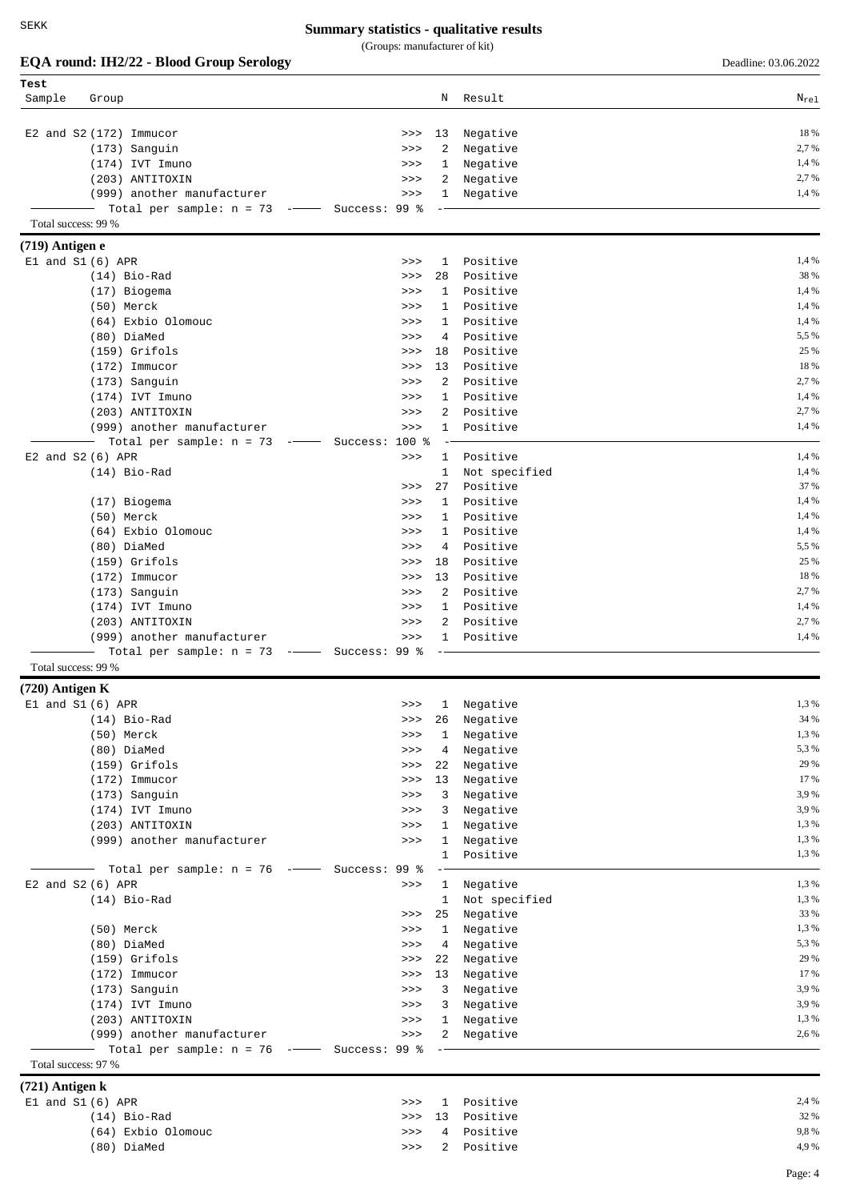(Groups: manufacturer of kit)

|                      | EQA round: IH2/22 - Blood Group Serology                                              |                |                              |                           | Deadline: 03.06.2022 |
|----------------------|---------------------------------------------------------------------------------------|----------------|------------------------------|---------------------------|----------------------|
| Test                 |                                                                                       |                |                              |                           |                      |
| Sample               | Group                                                                                 |                | Ν                            | Result                    | $N_{re1}$            |
|                      | E2 and S2 (172) Immucor                                                               | >>             | 13                           | Negative                  | 18 %                 |
|                      | (173) Sanguin                                                                         | >>             | 2                            | Negative                  | 2,7 %                |
|                      | (174) IVT Imuno                                                                       | >>             | 1                            | Negative                  | 1,4 %                |
|                      | (203) ANTITOXIN                                                                       | >>             | 2                            | Negative                  | 2,7 %                |
|                      | (999) another manufacturer                                                            | >>             | $\mathbf{1}$                 | Negative                  | 1,4 %                |
|                      | Total per sample: $n = 73$ -- Success: 99 %                                           |                |                              |                           |                      |
| Total success: 99 %  |                                                                                       |                |                              |                           |                      |
| (719) Antigen e      |                                                                                       |                |                              |                           |                      |
| $E1$ and $S1(6)$ APR |                                                                                       | >>             | 1                            | Positive                  | 1,4 %                |
|                      | $(14)$ Bio-Rad                                                                        | >>             | 28                           | Positive                  | 38 %                 |
|                      | (17) Biogema                                                                          | >>             | $\mathbf{1}$                 | Positive                  | 1,4 %                |
|                      | (50) Merck                                                                            | >>             | $\mathbf{1}$                 | Positive                  | 1,4 %                |
|                      | (64) Exbio Olomouc                                                                    | >>             | 1                            | Positive                  | 1,4 %                |
|                      | (80) DiaMed                                                                           | >>             | 4                            | Positive                  | 5,5 %                |
|                      | $(159)$ Grifols                                                                       | >>             | 18                           | Positive                  | 25 %                 |
|                      | $(172)$ Immucor                                                                       | >>             | 13                           | Positive                  | 18 %                 |
|                      | (173) Sanguin                                                                         | >>             | 2                            | Positive                  | 2,7 %                |
|                      | (174) IVT Imuno                                                                       | >>             | 1                            | Positive                  | 1,4 %                |
|                      | (203) ANTITOXIN                                                                       | >>             | 2                            | Positive                  | 2,7 %                |
|                      | (999) another manufacturer                                                            | >>             | $\mathbf{1}$                 | Positive                  | 1,4 %                |
|                      | Total per sample: $n = 73$<br>$\begin{tabular}{cc} - & - & - \\ \hline \end{tabular}$ | Success: 100 % |                              |                           |                      |
| E2 and S2 (6) APR    |                                                                                       | >>             | $\mathbf{1}$                 | Positive                  | 1,4 %                |
|                      | $(14)$ Bio-Rad                                                                        |                | $\mathbf{1}$                 | Not specified<br>Positive | 1,4 %<br>37 %        |
|                      |                                                                                       | >>             | 27<br>$\mathbf{1}$           | Positive                  | 1,4 %                |
|                      | (17) Biogema                                                                          | >><br>>>       | 1                            | Positive                  | 1,4 %                |
|                      | (50) Merck<br>(64) Exbio Olomouc                                                      | >>             | 1                            | Positive                  | 1,4 %                |
|                      | (80) DiaMed                                                                           | >>             | 4                            | Positive                  | 5,5 %                |
|                      | $(159)$ Grifols                                                                       | >>             | 18                           | Positive                  | 25 %                 |
|                      | $(172)$ Immucor                                                                       | >>             | 13                           | Positive                  | 18 %                 |
|                      | (173) Sanguin                                                                         | >>             | 2                            | Positive                  | 2,7 %                |
|                      | (174) IVT Imuno                                                                       | >>             | $\mathbf{1}$                 | Positive                  | 1,4 %                |
|                      | (203) ANTITOXIN                                                                       | >>             | 2                            | Positive                  | 2,7 %                |
|                      | (999) another manufacturer                                                            | >>             | $\mathbf{1}$                 | Positive                  | 1,4 %                |
|                      | Total per sample: $n = 73$ -- Success: 99 %                                           |                |                              |                           |                      |
| Total success: 99 %  |                                                                                       |                |                              |                           |                      |
| (720) Antigen K      |                                                                                       |                |                              |                           |                      |
| El and S1 (6) APR    |                                                                                       | >>             | 1                            | Negative                  | 1,3 %                |
|                      | $(14)$ Bio-Rad                                                                        | >>             | 26                           | Negative                  | 34 %                 |
|                      | (50) Merck                                                                            | >>             | $\mathbf{1}$                 | Negative                  | 1,3 %                |
|                      | (80) DiaMed                                                                           | $>>>$          | 4                            | Negative                  | 5,3 %                |
|                      | (159) Grifols                                                                         | $>>>$          | 22                           | Negative                  | 29 %                 |
|                      | $(172)$ Immucor                                                                       | $>>>$          | 13                           | Negative                  | 17 %                 |
|                      | (173) Sanguin                                                                         | $>>>$          | $\mathbf{3}$                 | Negative                  | 3,9%<br>3,9%         |
|                      | (174) IVT Imuno                                                                       | >>             | 3                            | Negative                  | 1,3 %                |
|                      | (203) ANTITOXIN<br>(999) another manufacturer                                         | >><br>>>       | $\mathbf{1}$<br>$\mathbf{1}$ | Negative<br>Negative      | 1,3%                 |
|                      |                                                                                       |                | $\mathbf{1}$                 | Positive                  | 1,3 %                |
|                      | Total per sample: $n = 76$ -- Success: 99 %                                           |                |                              |                           |                      |
| $E2$ and $S2(6)$ APR |                                                                                       | $>>>$          | $\mathbf{1}$                 | Negative                  | 1,3 %                |
|                      | $(14)$ Bio-Rad                                                                        |                | $\mathbf{1}$                 | Not specified             | 1,3 %                |
|                      |                                                                                       | $>>>$          | 25                           | Negative                  | 33 %                 |
|                      | (50) Merck                                                                            | >>             | $\mathbf{1}$                 | Negative                  | 1,3 %                |
|                      | (80) DiaMed                                                                           | >>             | 4                            | Negative                  | 5,3%                 |
|                      | (159) Grifols                                                                         | $>>>$          | 22                           | Negative                  | 29 %                 |
|                      | $(172)$ Immucor                                                                       | $>>>$          | 13                           | Negative                  | 17 %                 |
|                      | (173) Sanguin                                                                         | $>>>$          | 3                            | Negative                  | 3,9%                 |
|                      | (174) IVT Imuno                                                                       | >>             | 3                            | Negative                  | 3,9%                 |
|                      | (203) ANTITOXIN                                                                       | >>             | $\mathbf{1}$                 | Negative                  | 1,3%                 |
|                      | (999) another manufacturer                                                            | $>>>$          |                              | 2 Negative                | 2,6 %                |
|                      | Total per sample: $n = 76$ -- Success: 99 %                                           |                |                              |                           |                      |
| Total success: 97 %  |                                                                                       |                |                              |                           |                      |
| $(721)$ Antigen k    |                                                                                       |                |                              |                           |                      |
| $E1$ and $S1(6)$ APR |                                                                                       | >>             | $\mathbf{1}$                 | Positive                  | 2,4 %<br>32 %        |
|                      | $(14)$ Bio-Rad<br>(64) Exbio Olomouc                                                  | >><br>>>       | 13<br>4                      | Positive<br>Positive      | 9,8%                 |
|                      | (80) DiaMed                                                                           | $>>>$          |                              | 2 Positive                | 4,9%                 |
|                      |                                                                                       |                |                              |                           |                      |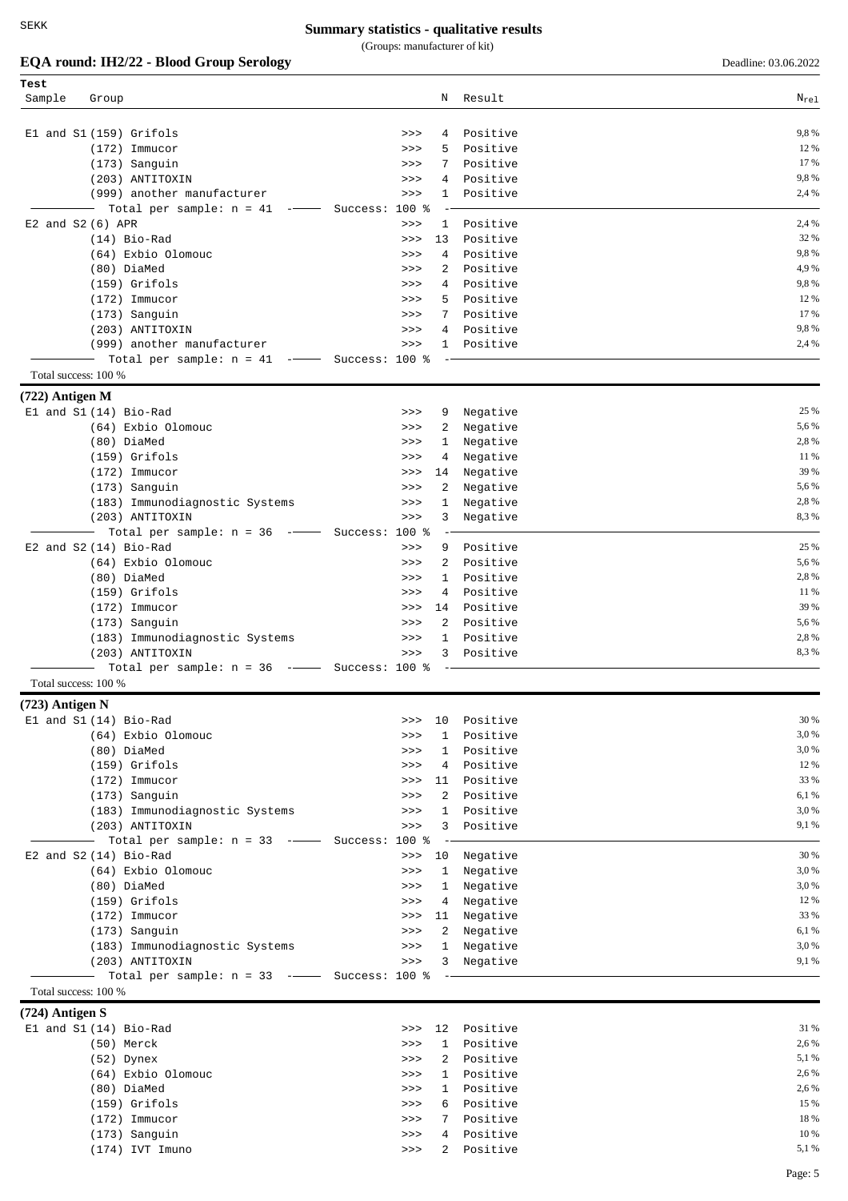(Groups: manufacturer of kit)

| EQA round: IH2/22 - Blood Group Serology | Deadline: 03.06.2022 |
|------------------------------------------|----------------------|
|                                          |                      |

| Test                 |                                                                                                                                                                                                                                                                                                                                                                                                                            |                       |                          |                   |
|----------------------|----------------------------------------------------------------------------------------------------------------------------------------------------------------------------------------------------------------------------------------------------------------------------------------------------------------------------------------------------------------------------------------------------------------------------|-----------------------|--------------------------|-------------------|
| Sample               | Group                                                                                                                                                                                                                                                                                                                                                                                                                      | Ν                     | Result                   | $\rm N_{\rm rel}$ |
|                      |                                                                                                                                                                                                                                                                                                                                                                                                                            |                       |                          |                   |
|                      | El and S1 (159) Grifols                                                                                                                                                                                                                                                                                                                                                                                                    | 4<br>>>               | Positive                 | 9,8%              |
|                      | $(172)$ Immucor                                                                                                                                                                                                                                                                                                                                                                                                            | 5.<br>>>              | Positive                 | 12 %              |
|                      | (173) Sanguin                                                                                                                                                                                                                                                                                                                                                                                                              | 7<br>>>               | Positive                 | 17 %              |
|                      | (203) ANTITOXIN                                                                                                                                                                                                                                                                                                                                                                                                            | 4<br>>>               | Positive                 | 9,8%              |
|                      | (999) another manufacturer                                                                                                                                                                                                                                                                                                                                                                                                 | >><br>$\mathbf{1}$    | Positive                 | 2,4 %             |
|                      | Total per sample: $n = 41$<br>$\frac{1}{2} \left( \frac{1}{2} \frac{1}{2} \frac{1}{2} \frac{1}{2} \frac{1}{2} \frac{1}{2} \frac{1}{2} \frac{1}{2} \frac{1}{2} \frac{1}{2} \frac{1}{2} \frac{1}{2} \frac{1}{2} \frac{1}{2} \frac{1}{2} \frac{1}{2} \frac{1}{2} \frac{1}{2} \frac{1}{2} \frac{1}{2} \frac{1}{2} \frac{1}{2} \frac{1}{2} \frac{1}{2} \frac{1}{2} \frac{1}{2} \frac{1}{2} \frac{1}{2} \frac{1}{2} \frac{1}{2}$ | Success: 100 %        |                          |                   |
|                      | E2 and S2 (6) APR                                                                                                                                                                                                                                                                                                                                                                                                          | >><br>1               | Positive                 | 2,4 %             |
|                      | $(14)$ Bio-Rad                                                                                                                                                                                                                                                                                                                                                                                                             | 13<br>>>              | Positive                 | 32 %              |
|                      | (64) Exbio Olomouc                                                                                                                                                                                                                                                                                                                                                                                                         | 4<br>>>               | Positive                 | 9,8%              |
|                      | (80) DiaMed                                                                                                                                                                                                                                                                                                                                                                                                                | 2<br>>>               | Positive                 | 4,9%              |
|                      | (159) Grifols                                                                                                                                                                                                                                                                                                                                                                                                              | $4\overline{ }$<br>>> | Positive                 | 9,8%              |
|                      | $(172)$ Immucor                                                                                                                                                                                                                                                                                                                                                                                                            | 5<br>>>               | Positive                 | 12 %              |
|                      | (173) Sanguin                                                                                                                                                                                                                                                                                                                                                                                                              | 7<br>>>               | Positive                 | 17 %              |
|                      | (203) ANTITOXIN                                                                                                                                                                                                                                                                                                                                                                                                            | >>                    | 4 Positive               | 9,8%              |
|                      | (999) another manufacturer                                                                                                                                                                                                                                                                                                                                                                                                 | $>>>$                 | Positive<br>$\mathbf{1}$ | 2,4 %             |
|                      | Total per sample: $n = 41$ -- Success: 100 %                                                                                                                                                                                                                                                                                                                                                                               |                       |                          |                   |
| Total success: 100 % |                                                                                                                                                                                                                                                                                                                                                                                                                            |                       |                          |                   |
| (722) Antigen M      |                                                                                                                                                                                                                                                                                                                                                                                                                            |                       |                          |                   |
|                      | El and S1 (14) Bio-Rad                                                                                                                                                                                                                                                                                                                                                                                                     | 9<br>>>               | Negative                 | 25 %              |
|                      | (64) Exbio Olomouc                                                                                                                                                                                                                                                                                                                                                                                                         | 2<br>>>               | Negative                 | 5,6 %             |
|                      | (80) DiaMed                                                                                                                                                                                                                                                                                                                                                                                                                | 1<br>>>               | Negative                 | 2,8%              |
|                      | $(159)$ Grifols                                                                                                                                                                                                                                                                                                                                                                                                            | 4<br>>>               | Negative                 | 11 %              |
|                      | $(172)$ Immucor                                                                                                                                                                                                                                                                                                                                                                                                            | 14<br>>>              | Negative                 | 39 %              |
|                      | (173) Sanguin                                                                                                                                                                                                                                                                                                                                                                                                              | 2<br>>>               | Negative                 | 5,6%              |
|                      | (183) Immunodiagnostic Systems                                                                                                                                                                                                                                                                                                                                                                                             | 1<br>>>               | Negative                 | 2,8%              |
|                      | (203) ANTITOXIN                                                                                                                                                                                                                                                                                                                                                                                                            | 3<br>>>               | Negative                 | 8,3%              |
|                      | Total per sample: $n = 36$ --                                                                                                                                                                                                                                                                                                                                                                                              | Success: 100 %        |                          |                   |
|                      | E2 and S2 (14) Bio-Rad                                                                                                                                                                                                                                                                                                                                                                                                     | >><br>9               | Positive                 | 25 %              |
|                      | (64) Exbio Olomouc                                                                                                                                                                                                                                                                                                                                                                                                         | $\overline{2}$<br>>>  | Positive                 | 5,6 %             |
|                      | (80) DiaMed                                                                                                                                                                                                                                                                                                                                                                                                                | 1<br>>>               | Positive                 | 2,8%              |
|                      | $(159)$ Grifols                                                                                                                                                                                                                                                                                                                                                                                                            | $\overline{4}$<br>>>  | Positive                 | 11 %              |
|                      | $(172)$ Immucor                                                                                                                                                                                                                                                                                                                                                                                                            | 14<br>>>              | Positive                 | 39 %              |
|                      | (173) Sanguin                                                                                                                                                                                                                                                                                                                                                                                                              | $\overline{2}$<br>>>  | Positive                 | 5,6%              |
|                      | (183) Immunodiagnostic Systems                                                                                                                                                                                                                                                                                                                                                                                             | >>                    | 1<br>Positive            | 2,8%              |
|                      | (203) ANTITOXIN                                                                                                                                                                                                                                                                                                                                                                                                            | 3<br>>>               | Positive                 | 8,3%              |
|                      | Total per sample: $n = 36$ -                                                                                                                                                                                                                                                                                                                                                                                               | Success: 100 %        |                          |                   |
| Total success: 100 % |                                                                                                                                                                                                                                                                                                                                                                                                                            |                       |                          |                   |
| $(723)$ Antigen N    |                                                                                                                                                                                                                                                                                                                                                                                                                            |                       |                          |                   |
|                      | El and S1 (14) Bio-Rad                                                                                                                                                                                                                                                                                                                                                                                                     | 10<br>>>>             | Positive                 | 30 %              |
|                      | (64) Exbio Olomouc                                                                                                                                                                                                                                                                                                                                                                                                         | 1<br>>>               | Positive                 | 3,0%              |
|                      | (80) DiaMed                                                                                                                                                                                                                                                                                                                                                                                                                | 1<br>>>               | Positive                 | 3,0%              |
|                      | (159) Grifols                                                                                                                                                                                                                                                                                                                                                                                                              | 4<br>>>               | Positive                 | 12 %              |
|                      | $(172)$ Immucor                                                                                                                                                                                                                                                                                                                                                                                                            | 11<br>>>              | Positive                 | 33 %              |
|                      | (173) Sanguin                                                                                                                                                                                                                                                                                                                                                                                                              | $\overline{2}$<br>>>  | Positive                 | 6,1 %             |
|                      | (183) Immunodiagnostic Systems                                                                                                                                                                                                                                                                                                                                                                                             | $\mathbf{1}$<br>>>    | Positive                 | 3,0%              |
|                      | (203) ANTITOXIN                                                                                                                                                                                                                                                                                                                                                                                                            | 3<br>$>>>$            | Positive                 | 9,1 %             |
|                      | Total per sample: $n = 33$ --                                                                                                                                                                                                                                                                                                                                                                                              | Success: 100 %        |                          |                   |
|                      | E2 and S2 (14) Bio-Rad                                                                                                                                                                                                                                                                                                                                                                                                     | 10<br>>>              | Negative                 | 30 %              |
|                      | (64) Exbio Olomouc                                                                                                                                                                                                                                                                                                                                                                                                         | 1<br>>>               | Negative                 | 3,0%              |
|                      | (80) DiaMed                                                                                                                                                                                                                                                                                                                                                                                                                | $\mathbf{1}$<br>>>    | Negative                 | 3,0%              |
|                      | (159) Grifols                                                                                                                                                                                                                                                                                                                                                                                                              | >><br>4               | Negative                 | 12 %              |
|                      | $(172)$ Immucor                                                                                                                                                                                                                                                                                                                                                                                                            | 11<br>>>              | Negative                 | 33 %              |
|                      | (173) Sanguin                                                                                                                                                                                                                                                                                                                                                                                                              | 2<br>>>               | Negative                 | 6,1%              |
|                      | (183) Immunodiagnostic Systems                                                                                                                                                                                                                                                                                                                                                                                             | $\mathbf{1}$<br>>>    | Negative                 | 3,0%              |
|                      | (203) ANTITOXIN                                                                                                                                                                                                                                                                                                                                                                                                            | $>>>$                 | 3 Negative               | 9,1%              |
|                      | Total per sample: $n = 33$ -- Success: 100 %                                                                                                                                                                                                                                                                                                                                                                               |                       | $\overline{\phantom{a}}$ |                   |
| Total success: 100 % |                                                                                                                                                                                                                                                                                                                                                                                                                            |                       |                          |                   |
| (724) Antigen S      |                                                                                                                                                                                                                                                                                                                                                                                                                            |                       |                          |                   |
|                      | El and S1 (14) Bio-Rad                                                                                                                                                                                                                                                                                                                                                                                                     | 12<br>>>              | Positive                 | 31 %              |
|                      | (50) Merck                                                                                                                                                                                                                                                                                                                                                                                                                 | $\mathbf{1}$<br>>>    | Positive                 | 2,6 %             |
|                      | (52) Dynex                                                                                                                                                                                                                                                                                                                                                                                                                 | 2<br>>>               | Positive                 | 5,1 %             |
|                      | (64) Exbio Olomouc                                                                                                                                                                                                                                                                                                                                                                                                         | $\mathbf{1}$<br>>>    | Positive                 | 2,6 %             |
|                      | (80) DiaMed                                                                                                                                                                                                                                                                                                                                                                                                                | $\mathbf{1}$<br>>>    | Positive                 | 2,6 %             |
|                      | (159) Grifols                                                                                                                                                                                                                                                                                                                                                                                                              | 6<br>>>               | Positive                 | 15 %              |
|                      | $(172)$ Immucor                                                                                                                                                                                                                                                                                                                                                                                                            | >><br>7               | Positive                 | 18 %              |
|                      | (173) Sanguin                                                                                                                                                                                                                                                                                                                                                                                                              | >>                    | 4 Positive               | 10 %              |

 $(174)$  IVT Imuno  $5.1\%$   $\longrightarrow$   $2$  Positive  $5.1\%$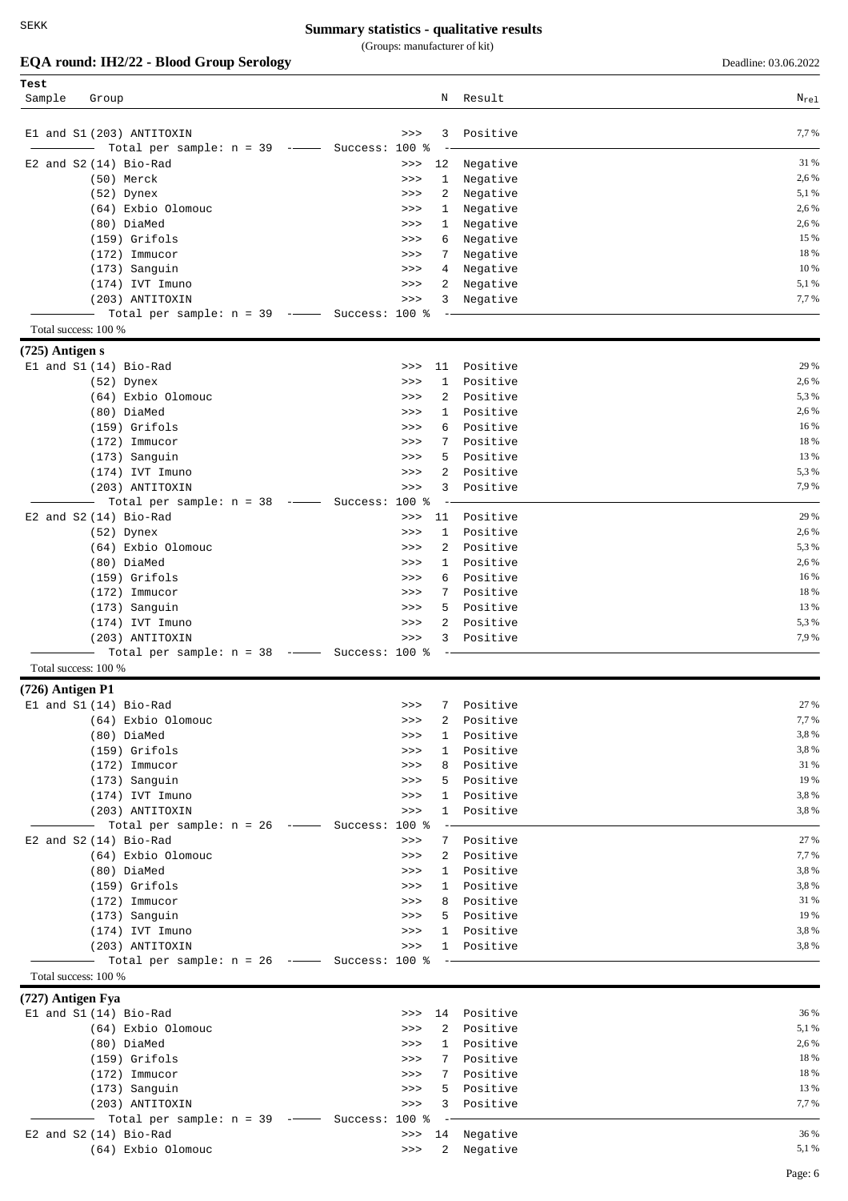(Groups: manufacturer of kit)

**EQA round: IH2/22 - Blood Group Serology** Deadline: 03.06.2022

| Test                 |                                                                          |                      |             |                   |
|----------------------|--------------------------------------------------------------------------|----------------------|-------------|-------------------|
| Sample               | Group                                                                    | Ν                    | Result      | $\rm N_{\rm rel}$ |
|                      |                                                                          |                      |             |                   |
|                      |                                                                          |                      |             |                   |
|                      | E1 and S1 (203) ANTITOXIN                                                | 3<br>>>              | Positive    | 7,7 %             |
|                      | Total per sample: $n = 39$ -- Success: 100 %<br>$\overline{\phantom{0}}$ |                      |             |                   |
|                      | $E2$ and $S2(14)$ Bio-Rad                                                | 12<br>>>             | Negative    | 31 %              |
|                      | (50) Merck                                                               | 1<br>>>              | Negative    | 2,6 %             |
|                      | (52) Dynex                                                               | 2<br>>>              | Negative    | 5,1 %             |
|                      | (64) Exbio Olomouc                                                       | 1<br>>>              | Negative    | 2,6 %             |
|                      | (80) DiaMed                                                              | >><br>1              | Negative    | 2,6 %             |
|                      | $(159)$ Grifols                                                          | 6<br>>>              | Negative    | 15 %              |
|                      | $(172)$ Immucor                                                          | 7<br>>>              | Negative    | 18 %              |
|                      |                                                                          |                      |             |                   |
|                      | (173) Sanguin                                                            | >><br>4              | Negative    | 10 %              |
|                      | $(174)$ IVT Imuno                                                        | 2<br>>>              | Negative    | 5,1 %             |
|                      | (203) ANTITOXIN                                                          | >><br>3              | Negative    | 7,7%              |
|                      | Total per sample: $n = 39$ -- Success: 100 %                             |                      |             |                   |
| Total success: 100 % |                                                                          |                      |             |                   |
|                      |                                                                          |                      |             |                   |
| $(725)$ Antigen s    |                                                                          |                      |             |                   |
|                      | El and S1 (14) Bio-Rad                                                   | 11<br>>>             | Positive    | 29 %              |
|                      | $(52)$ Dynex                                                             | 1<br>>>              | Positive    | 2,6 %             |
|                      | (64) Exbio Olomouc                                                       | 2<br>>>              | Positive    | 5,3 %             |
|                      | (80) DiaMed                                                              | 1<br>>>              | Positive    | 2,6 %             |
|                      | $(159)$ Grifols                                                          | 6<br>>>              | Positive    | 16 %              |
|                      | $(172)$ Immucor                                                          | 7<br>>>              | Positive    | 18 %              |
|                      | (173) Sanguin                                                            | 5<br>>>              | Positive    | 13 %              |
|                      | (174) IVT Imuno                                                          | 2<br>>>              | Positive    | 5,3 %             |
|                      |                                                                          | 3                    | Positive    | 7,9%              |
|                      | (203) ANTITOXIN                                                          | >>                   |             |                   |
|                      | Total per sample: $n = 38$ -- Success:                                   | $100*$               |             |                   |
|                      | E2 and $S2(14)$ Bio-Rad                                                  | >><br>11             | Positive    | 29 %              |
|                      | $(52)$ Dynex                                                             | $\mathbf{1}$<br>>>   | Positive    | 2,6 %             |
|                      | (64) Exbio Olomouc                                                       | 2<br>>>              | Positive    | 5,3 %             |
|                      | (80) DiaMed                                                              | $\mathbf{1}$<br>>>   | Positive    | 2,6 %             |
|                      | $(159)$ Grifols                                                          | 6<br>>>              | Positive    | 16 %              |
|                      | $(172)$ Immucor                                                          | 7<br>>>              | Positive    | 18 %              |
|                      | (173) Sanguin                                                            | 5<br>>>              | Positive    | 13 %              |
|                      |                                                                          |                      |             |                   |
|                      | $(174)$ IVT Imuno                                                        | 2<br>>>              | Positive    | 5,3%              |
|                      | (203) ANTITOXIN                                                          | >><br>3              | Positive    | 7,9 %             |
|                      | Total per sample: $n = 38$ -- Success: 100 %                             |                      |             |                   |
| Total success: 100 % |                                                                          |                      |             |                   |
| $(726)$ Antigen P1   |                                                                          |                      |             |                   |
|                      | El and S1 (14) Bio-Rad                                                   | 7<br>>>              | Positive    | 27 %              |
|                      | (64) Exbio Olomouc                                                       | 2<br>>>              |             | 7,7 %             |
|                      |                                                                          |                      | Positive    | 3,8%              |
|                      | (80) DiaMed                                                              | 1<br>>>              | Positive    |                   |
|                      | (159) Grifols                                                            | $\mathbf{1}$<br>>>   | Positive    | 3,8%              |
|                      | $(172)$ Immucor                                                          | >><br>8              | Positive    | 31 %              |
|                      | (173) Sanguin                                                            | >><br>5              | Positive    | 19 %              |
|                      | (174) IVT Imuno                                                          | $\mathbf{1}$<br>>>   | Positive    | 3,8%              |
|                      | (203) ANTITOXIN                                                          | >>                   | 1 Positive  | 3,8%              |
|                      | Total per sample: $n = 26$ -- Success: 100 %                             |                      |             |                   |
|                      | E2 and $S2(14)$ Bio-Rad                                                  | $>>>$                | 7 Positive  | 27 %              |
|                      | (64) Exbio Olomouc                                                       | $\mathbf{2}$<br>>>   | Positive    | 7,7%              |
|                      |                                                                          |                      |             |                   |
|                      | (80) DiaMed                                                              | >>                   | 1 Positive  | 3,8%              |
|                      | $(159)$ Grifols                                                          | $>>>$                | 1 Positive  | 3,8%              |
|                      | $(172)$ Immucor                                                          | >><br>8              | Positive    | 31 %              |
|                      | (173) Sanguin                                                            | >><br>5              | Positive    | 19 %              |
|                      | $(174)$ IVT Imuno                                                        | >>                   | 1 Positive  | 3,8%              |
|                      | (203) ANTITOXIN                                                          | $>>>$                | 1 Positive  | 3,8%              |
|                      | Total per sample: $n = 26$ -- Success: 100 %                             | $ -$                 |             |                   |
| Total success: 100 % |                                                                          |                      |             |                   |
|                      |                                                                          |                      |             |                   |
| (727) Antigen Fya    |                                                                          |                      |             |                   |
|                      | El and S1 (14) Bio-Rad                                                   | >>                   | 14 Positive | 36 %              |
|                      | (64) Exbio Olomouc                                                       | $\overline{2}$<br>>> | Positive    | 5,1 %             |
|                      | (80) DiaMed                                                              | $\mathbf{1}$<br>>>   | Positive    | 2,6 %             |
|                      | (159) Grifols                                                            | >><br>7              | Positive    | 18 %              |
|                      | $(172)$ Immucor                                                          | >><br>7              | Positive    | 18 %              |
|                      | (173) Sanguin                                                            | >><br>5              | Positive    | 13 %              |
|                      | (203) ANTITOXIN                                                          | 3<br>$>>>$           | Positive    | 7,7 %             |
|                      |                                                                          |                      |             |                   |
|                      | —  Total per sample: n = 39  -——  Success: 100 %                         |                      |             |                   |
|                      | E2 and S2 (14) Bio-Rad                                                   | 14<br>>>             | Negative    | 36 %              |
|                      | (64) Exbio Olomouc                                                       | $>>>$                | 2 Negative  | 5,1 %             |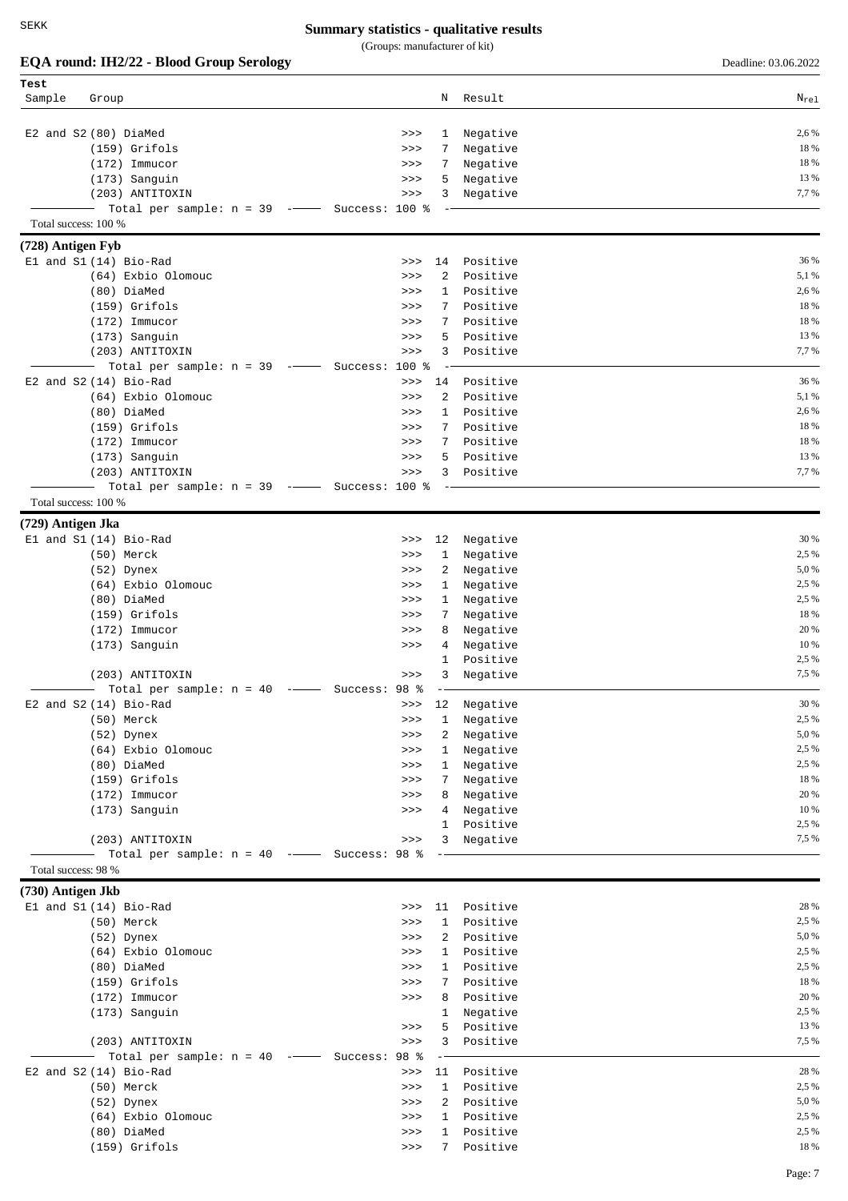(Groups: manufacturer of kit)

| EQA round: IH2/22 - Blood Group Serology     |                               |                      | Deadline: 03.06.2022 |
|----------------------------------------------|-------------------------------|----------------------|----------------------|
| Test                                         |                               |                      |                      |
| Sample<br>Group                              | Ν                             | Result               | $N_{rel}$            |
|                                              |                               |                      |                      |
| E2 and S2 (80) DiaMed<br>$(159)$ Grifols     | >><br>$\mathbf{1}$<br>7<br>>> | Negative             | 2,6 %<br>18 %        |
| $(172)$ Immucor                              | 7<br>>>                       | Negative<br>Negative | 18 %                 |
| (173) Sanguin                                | 5<br>>>                       | Negative             | 13 %                 |
| (203) ANTITOXIN                              | >><br>3                       | Negative             | 7,7%                 |
| Total per sample: $n = 39$ -- Success: 100 % |                               |                      |                      |
| Total success: 100 %                         |                               |                      |                      |
| (728) Antigen Fyb                            |                               |                      |                      |
| El and S1 (14) Bio-Rad                       | 14<br>>>                      | Positive             | 36 %                 |
| (64) Exbio Olomouc                           | 2<br>>>                       | Positive             | 5,1 %                |
| (80) DiaMed                                  | $\mathbf{1}$<br>>>            | Positive             | 2,6 %                |
| $(159)$ Grifols                              | 7<br>>>                       | Positive             | 18 %                 |
| $(172)$ Immucor                              | 7<br>>>                       | Positive             | 18 %                 |
| (173) Sanguin                                | 5<br>>>                       | Positive             | 13 %                 |
| (203) ANTITOXIN                              | 3<br>>>                       | Positive             | 7,7%                 |
| Total per sample: $n = 39$ --                | $100*$<br>Success:            |                      |                      |
| E2 and S2 (14) Bio-Rad                       | 14<br>>>                      | Positive             | 36 %<br>5,1 %        |
| (64) Exbio Olomouc                           | 2<br>>>                       | Positive             | 2,6 %                |
| (80) DiaMed                                  | $\mathbf{1}$<br>>>            | Positive             | 18 %                 |
| $(159)$ Grifols                              | 7<br>>>                       | Positive             | 18 %                 |
| $(172)$ Immucor                              | 7<br>>><br>5                  | Positive<br>Positive | 13 %                 |
| (173) Sanguin<br>(203) ANTITOXIN             | >><br>3<br>>>                 | Positive             | 7,7%                 |
| Total per sample: $n = 39$ -- Success: 100 % |                               |                      |                      |
| Total success: 100 %                         |                               |                      |                      |
| (729) Antigen Jka                            |                               |                      |                      |
| El and S1 (14) Bio-Rad                       | 12<br>>>                      | Negative             | 30 %                 |
| (50) Merck                                   | 1<br>>>                       | Negative             | 2,5 %                |
| (52) Dynex                                   | 2<br>>>                       | Negative             | 5,0 %                |
| (64) Exbio Olomouc                           | $\mathbf{1}$<br>>>            | Negative             | 2,5 %                |
| (80) DiaMed                                  | $\mathbf{1}$<br>>>            | Negative             | 2,5 %                |
| $(159)$ Grifols                              | 7<br>>>                       | Negative             | 18 %                 |
| $(172)$ Immucor                              | 8<br>>>                       | Negative             | 20 %                 |
| (173) Sanguin                                | 4<br>>>                       | Negative             | 10 %                 |
|                                              | $\mathbf{1}$                  | Positive             | 2,5 %                |
| (203) ANTITOXIN                              | 3<br>>>                       | Negative             | 7,5 %                |
| Total per sample: $n = 40$                   | Success: 98 %<br>$   -$       |                      |                      |
| $E2$ and $S2(14)$ Bio-Rad                    | 12<br>>>                      | Negative             | 30 %                 |
| (50) Merck                                   | $\mathbf{1}$<br>$>>>$         | Negative             | 2,5 %                |
| (52) Dynex                                   | $\overline{a}$<br>>>          | Negative             | 5,0%                 |
| (64) Exbio Olomouc                           | $\mathbf{1}$<br>>>            | Negative             | 2,5 %                |
| (80) DiaMed                                  | $\mathbf{1}$<br>>>            | Negative             | 2,5 %                |
| (159) Grifols                                | $>>>$<br>7                    | Negative             | 18 %<br>20 %         |
| $(172)$ Immucor                              | 8<br>$>>>$                    | Negative             | 10 %                 |
| (173) Sanguin                                | $>>>$<br>4<br>$\mathbf{1}$    | Negative<br>Positive | 2,5 %                |
| (203) ANTITOXIN                              | $>>>$<br>3                    | Negative             | 7,5 %                |
| Total per sample: $n = 40$ -- Success: 98 %  |                               |                      |                      |
| Total success: 98 %                          |                               |                      |                      |
| $(730)$ Antigen Jkb                          |                               |                      |                      |
| El and S1 (14) Bio-Rad                       | 11<br>>>                      | Positive             | 28 %                 |
| (50) Merck                                   | $\mathbf{1}$<br>>>            | Positive             | 2,5 %                |
| (52) Dynex                                   | 2<br>>>                       | Positive             | 5,0%                 |
| (64) Exbio Olomouc                           | $\mathbf{1}$<br>>>            | Positive             | 2,5 %                |
| (80) DiaMed                                  | 1<br>>>                       | Positive             | 2,5 %                |
| (159) Grifols                                | 7<br>>>                       | Positive             | 18 %                 |
| $(172)$ Immucor                              | 8<br>>>                       | Positive             | 20 %                 |
| (173) Sanguin                                | $\mathbf{1}$                  | Negative             | 2,5 %                |
|                                              | 5<br>$>>>$                    | Positive             | 13 %                 |
| (203) ANTITOXIN                              | 3<br>$>>>$                    | Positive             | 7,5 %                |
| Total per sample: $n = 40$ -- Success: 98 %  |                               |                      | 28 %                 |
| E2 and S2 (14) Bio-Rad                       | $>>>$<br>1                    | 11 Positive          | 2,5 %                |
| (50) Merck<br>(52) Dynex                     | >><br>2<br>>>                 | Positive<br>Positive | 5,0%                 |
| (64) Exbio Olomouc                           | $\mathbf{1}$<br>>>            | Positive             | 2,5 %                |
| (80) DiaMed                                  | >>                            | 1 Positive           | 2,5 %                |
|                                              |                               |                      |                      |

(159) Grifols >>> 7 Positive 18 %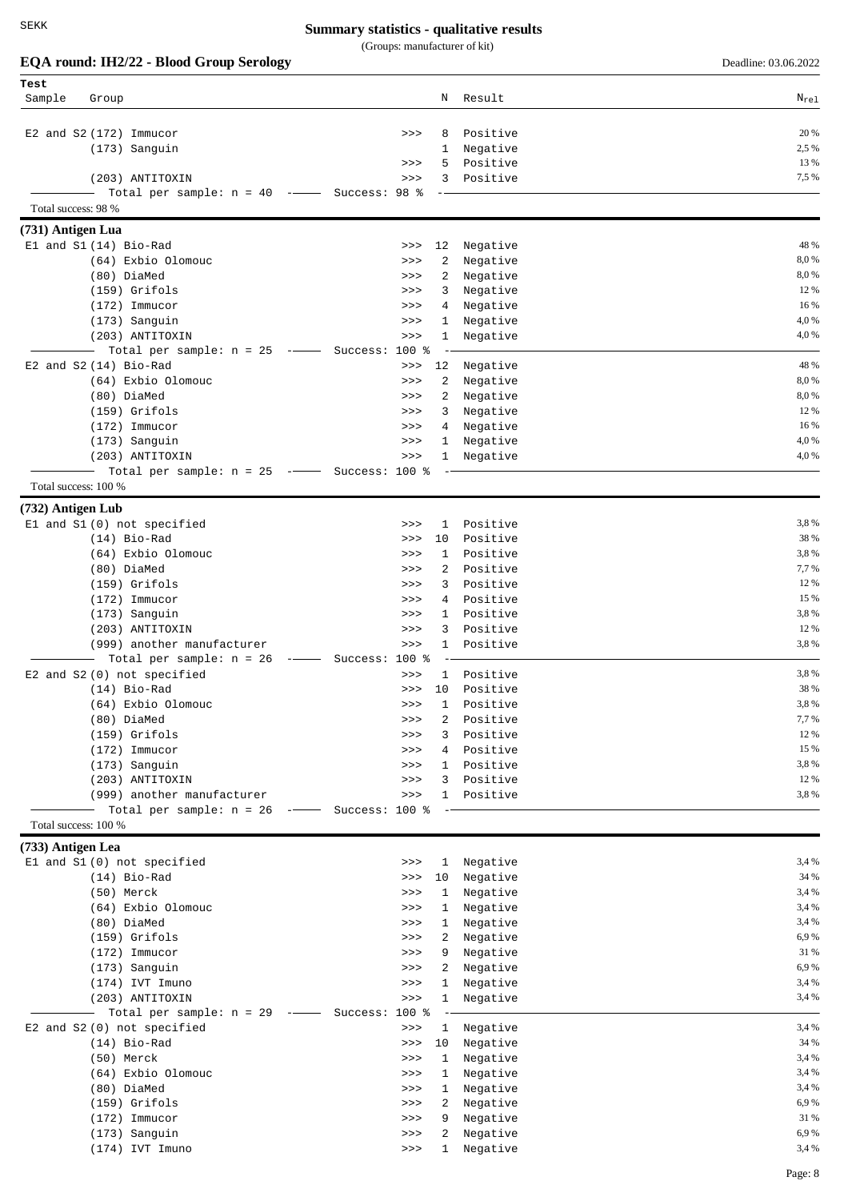|                            | EQA round: IH2/22 - Blood Group Serology                                                                                                                                                                                                                                                                                                                                                                                                                                                                                                                      |                                     |                                        | Deadline: 03.06.2022 |
|----------------------------|---------------------------------------------------------------------------------------------------------------------------------------------------------------------------------------------------------------------------------------------------------------------------------------------------------------------------------------------------------------------------------------------------------------------------------------------------------------------------------------------------------------------------------------------------------------|-------------------------------------|----------------------------------------|----------------------|
| Test<br>Sample<br>Group    |                                                                                                                                                                                                                                                                                                                                                                                                                                                                                                                                                               | N                                   | Result                                 | $N_{re1}$            |
|                            |                                                                                                                                                                                                                                                                                                                                                                                                                                                                                                                                                               |                                     |                                        |                      |
| $E2$ and $S2(172)$ Immucor |                                                                                                                                                                                                                                                                                                                                                                                                                                                                                                                                                               | >><br>8                             | Positive                               | 20 %                 |
|                            | $(173)$ Sanguin                                                                                                                                                                                                                                                                                                                                                                                                                                                                                                                                               | 1                                   | Negative                               | 2,5 %                |
|                            |                                                                                                                                                                                                                                                                                                                                                                                                                                                                                                                                                               | 5<br>>>                             | Positive                               | 13 %                 |
|                            | (203) ANTITOXIN                                                                                                                                                                                                                                                                                                                                                                                                                                                                                                                                               | 3<br>>>                             | Positive                               | 7,5 %                |
| Total success: 98 %        | Total per sample: $n = 40$ ---                                                                                                                                                                                                                                                                                                                                                                                                                                                                                                                                | Success: 98 %                       |                                        |                      |
| (731) Antigen Lua          |                                                                                                                                                                                                                                                                                                                                                                                                                                                                                                                                                               |                                     |                                        |                      |
| El and S1 (14) Bio-Rad     |                                                                                                                                                                                                                                                                                                                                                                                                                                                                                                                                                               | 12<br>>>                            | Negative                               | 48 %                 |
|                            | (64) Exbio Olomouc                                                                                                                                                                                                                                                                                                                                                                                                                                                                                                                                            | 2<br>>>                             | Negative                               | 8,0%                 |
|                            | (80) DiaMed                                                                                                                                                                                                                                                                                                                                                                                                                                                                                                                                                   | 2<br>>>                             | Negative                               | 8,0%                 |
|                            | $(159)$ Grifols                                                                                                                                                                                                                                                                                                                                                                                                                                                                                                                                               | 3<br>>>                             | Negative                               | 12 %                 |
|                            | $(172)$ Immucor                                                                                                                                                                                                                                                                                                                                                                                                                                                                                                                                               | >><br>4                             | Negative                               | 16 %                 |
|                            | (173) Sanguin                                                                                                                                                                                                                                                                                                                                                                                                                                                                                                                                                 | >><br>$\mathbf{1}$                  | Negative                               | 4,0%                 |
|                            | (203) ANTITOXIN                                                                                                                                                                                                                                                                                                                                                                                                                                                                                                                                               | >><br>1                             | Negative                               | 4,0%                 |
| E2 and S2 (14) Bio-Rad     | Total per sample: $n = 25$ -- Success: 100 %                                                                                                                                                                                                                                                                                                                                                                                                                                                                                                                  | 12<br>$>>>$                         |                                        | 48 %                 |
|                            | (64) Exbio Olomouc                                                                                                                                                                                                                                                                                                                                                                                                                                                                                                                                            | 2<br>>>                             | Negative<br>Negative                   | 8,0%                 |
|                            | (80) DiaMed                                                                                                                                                                                                                                                                                                                                                                                                                                                                                                                                                   | 2<br>>>                             | Negative                               | 8,0%                 |
|                            | $(159)$ Grifols                                                                                                                                                                                                                                                                                                                                                                                                                                                                                                                                               | 3<br>>>                             | Negative                               | 12 %                 |
|                            | $(172)$ Immucor                                                                                                                                                                                                                                                                                                                                                                                                                                                                                                                                               | >><br>4                             | Negative                               | 16 %                 |
|                            | (173) Sanguin                                                                                                                                                                                                                                                                                                                                                                                                                                                                                                                                                 | >><br>$\mathbf{1}$                  | Negative                               | 4,0%                 |
|                            | (203) ANTITOXIN                                                                                                                                                                                                                                                                                                                                                                                                                                                                                                                                               | >><br>$\mathbf{1}$                  | Negative                               | 4,0%                 |
|                            | Total per sample: $n = 25$ -- Success: 100 %                                                                                                                                                                                                                                                                                                                                                                                                                                                                                                                  |                                     |                                        |                      |
| Total success: 100 %       |                                                                                                                                                                                                                                                                                                                                                                                                                                                                                                                                                               |                                     |                                        |                      |
| (732) Antigen Lub          |                                                                                                                                                                                                                                                                                                                                                                                                                                                                                                                                                               |                                     |                                        |                      |
|                            | El and S1 (0) not specified<br>$(14)$ Bio-Rad                                                                                                                                                                                                                                                                                                                                                                                                                                                                                                                 | 1<br>>><br>10<br>>>                 | Positive<br>Positive                   | 3,8%<br>38 %         |
|                            | (64) Exbio Olomouc                                                                                                                                                                                                                                                                                                                                                                                                                                                                                                                                            | $\mathbf{1}$<br>>>                  | Positive                               | 3,8%                 |
|                            | (80) DiaMed                                                                                                                                                                                                                                                                                                                                                                                                                                                                                                                                                   | 2<br>>>                             | Positive                               | 7,7 %                |
|                            | $(159)$ Grifols                                                                                                                                                                                                                                                                                                                                                                                                                                                                                                                                               | 3<br>>>                             | Positive                               | 12 %                 |
|                            | $(172)$ Immucor                                                                                                                                                                                                                                                                                                                                                                                                                                                                                                                                               | 4<br>>>                             | Positive                               | 15 %                 |
|                            | (173) Sanguin                                                                                                                                                                                                                                                                                                                                                                                                                                                                                                                                                 | $\mathbf{1}$<br>>>                  | Positive                               | 3,8%                 |
|                            | (203) ANTITOXIN                                                                                                                                                                                                                                                                                                                                                                                                                                                                                                                                               | 3<br>>>                             | Positive                               | 12 %                 |
|                            | (999) another manufacturer                                                                                                                                                                                                                                                                                                                                                                                                                                                                                                                                    | >><br>1                             | Positive                               | 3,8%                 |
|                            | Total per sample: $n = 26$<br>$\begin{tabular}{ll} \multicolumn{2}{c} {\textbf{1}} & \multicolumn{2}{c} {\textbf{1}} & \multicolumn{2}{c} {\textbf{1}} \\ \multicolumn{2}{c} {\textbf{1}} & \multicolumn{2}{c} {\textbf{1}} & \multicolumn{2}{c} {\textbf{1}} \\ \multicolumn{2}{c} {\textbf{1}} & \multicolumn{2}{c} {\textbf{1}} & \multicolumn{2}{c} {\textbf{1}} \\ \multicolumn{2}{c} {\textbf{1}} & \multicolumn{2}{c} {\textbf{1}} & \multicolumn{2}{c} {\textbf{1}} \\ \multicolumn{2}{c} {\textbf{1}} & \multicolumn$<br>E2 and S2 (0) not specified | Success: 100 %<br>>>                | 1 Positive                             | 3,8%                 |
|                            | (14) Bio-Rad                                                                                                                                                                                                                                                                                                                                                                                                                                                                                                                                                  |                                     | >>> 10 Positive                        | 38 %                 |
|                            | (64) Exbio Olomouc                                                                                                                                                                                                                                                                                                                                                                                                                                                                                                                                            | >><br>1                             | Positive                               | 3,8%                 |
|                            | (80) DiaMed                                                                                                                                                                                                                                                                                                                                                                                                                                                                                                                                                   | >><br>2                             | Positive                               | 7,7 %                |
|                            | (159) Grifols                                                                                                                                                                                                                                                                                                                                                                                                                                                                                                                                                 | >>                                  | Positive<br>3                          | 12 %                 |
|                            | (172) Immucor                                                                                                                                                                                                                                                                                                                                                                                                                                                                                                                                                 | $>>>$                               | 4 Positive                             | 15 %                 |
|                            | (173) Sanguin                                                                                                                                                                                                                                                                                                                                                                                                                                                                                                                                                 | $>>>$                               | 1 Positive                             | 3,8%                 |
|                            | (203) ANTITOXIN                                                                                                                                                                                                                                                                                                                                                                                                                                                                                                                                               | $>>>$                               | 3 Positive                             | 12 %                 |
|                            | (999) another manufacturer<br>Total per sample: $n = 26$ -- Success: 100 %                                                                                                                                                                                                                                                                                                                                                                                                                                                                                    | $>>>$                               | 1 Positive<br>$\overline{\phantom{a}}$ | 3,8%                 |
| Total success: 100 %       |                                                                                                                                                                                                                                                                                                                                                                                                                                                                                                                                                               |                                     |                                        |                      |
| (733) Antigen Lea          |                                                                                                                                                                                                                                                                                                                                                                                                                                                                                                                                                               |                                     |                                        |                      |
|                            | El and S1 (0) not specified                                                                                                                                                                                                                                                                                                                                                                                                                                                                                                                                   | $>>>$                               | 1 Negative                             | 3,4 %                |
|                            | $(14)$ Bio-Rad                                                                                                                                                                                                                                                                                                                                                                                                                                                                                                                                                | 10 <sub>1</sub><br>>>               | Negative                               | 34 %                 |
|                            | (50) Merck                                                                                                                                                                                                                                                                                                                                                                                                                                                                                                                                                    | $\mathbf{1}$<br>>>                  | Negative                               | 3,4 %                |
|                            | (64) Exbio Olomouc                                                                                                                                                                                                                                                                                                                                                                                                                                                                                                                                            | >><br>$\mathbf{1}$                  | Negative                               | 3,4 %                |
|                            | (80) DiaMed                                                                                                                                                                                                                                                                                                                                                                                                                                                                                                                                                   | $>>>$                               | 1 Negative                             | 3,4 %                |
|                            | (159) Grifols                                                                                                                                                                                                                                                                                                                                                                                                                                                                                                                                                 | $\overline{2}$<br>$>>>$             | Negative                               | 6,9%                 |
|                            | $(172)$ Immucor                                                                                                                                                                                                                                                                                                                                                                                                                                                                                                                                               | $>>>$<br>9                          | Negative                               | 31 %<br>6,9%         |
|                            | (173) Sanguin<br>(174) IVT Imuno                                                                                                                                                                                                                                                                                                                                                                                                                                                                                                                              | $>>>$<br>2<br>$>>>$                 | Negative<br>1 Negative                 | 3,4 %                |
|                            | (203) ANTITOXIN                                                                                                                                                                                                                                                                                                                                                                                                                                                                                                                                               | $>>>$<br>$\mathbf{1}$               | Negative                               | 3,4 %                |
|                            | Total per sample: $n = 29$ -- Success: 100 %                                                                                                                                                                                                                                                                                                                                                                                                                                                                                                                  |                                     |                                        |                      |
|                            | E2 and S2 (0) not specified                                                                                                                                                                                                                                                                                                                                                                                                                                                                                                                                   | $>>>$                               | 1 Negative                             | 3,4 %                |
|                            | $(14)$ Bio-Rad                                                                                                                                                                                                                                                                                                                                                                                                                                                                                                                                                | 10<br>$>>>$                         | Negative                               | 34 %                 |
|                            | (50) Merck                                                                                                                                                                                                                                                                                                                                                                                                                                                                                                                                                    | 1<br>$>>>$                          | Negative                               | 3,4 %                |
|                            | (64) Exbio Olomouc                                                                                                                                                                                                                                                                                                                                                                                                                                                                                                                                            | $\mathbf{1}$<br>$>>>$               | Negative                               | 3,4 %                |
|                            | (80) DiaMed<br>(159) Grifols                                                                                                                                                                                                                                                                                                                                                                                                                                                                                                                                  | $\mathbf{1}$<br>$>>>$<br>$>>>$<br>2 | Negative<br>Negative                   | 3,4 %<br>6,9%        |
|                            | $(172)$ Immucor                                                                                                                                                                                                                                                                                                                                                                                                                                                                                                                                               | $>>>$<br>9                          | Negative                               | 31 %                 |
|                            | (173) Sanguin                                                                                                                                                                                                                                                                                                                                                                                                                                                                                                                                                 | 2<br>$>>>$                          | Negative                               | 6,9%                 |
|                            | (174) IVT Imuno                                                                                                                                                                                                                                                                                                                                                                                                                                                                                                                                               | >>                                  | 1 Negative                             | 3,4 %                |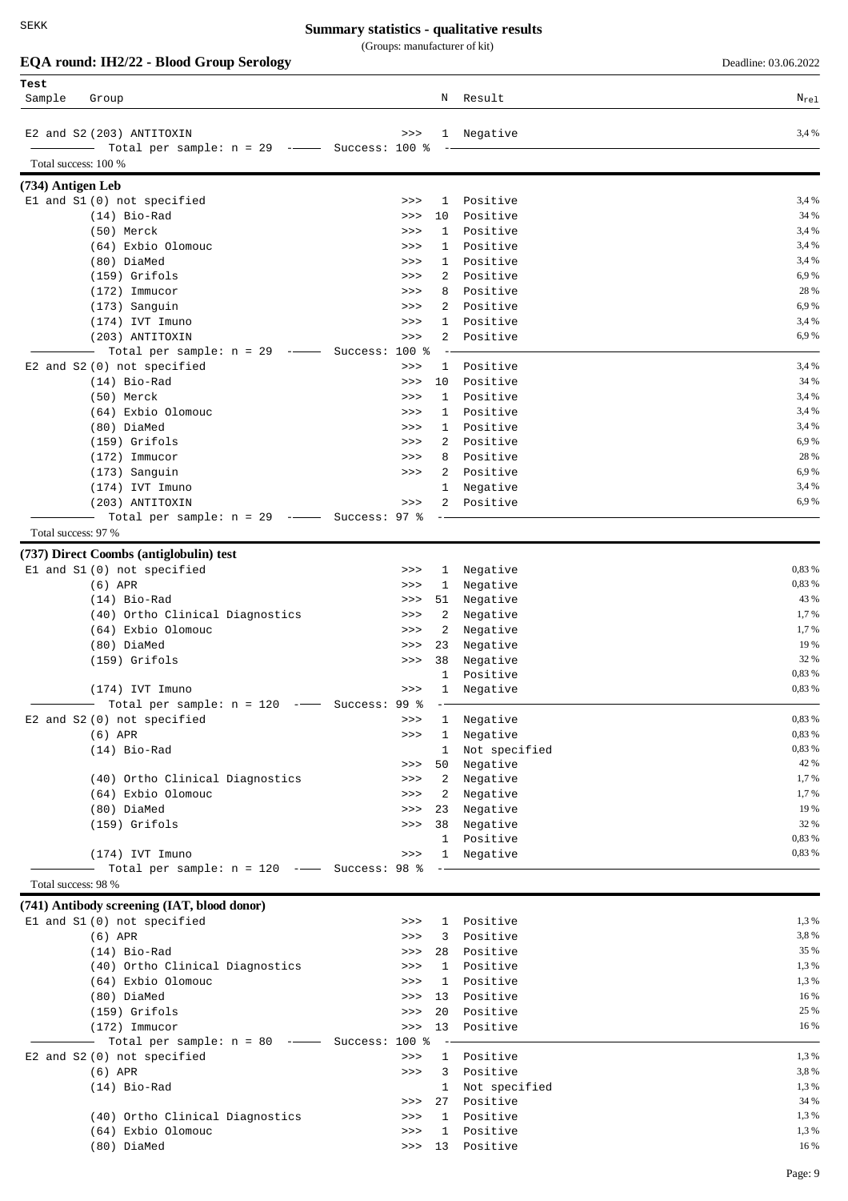(Groups: manufacturer of kit)

|  |  |  |  |  | EQA round: IH2/22 - Blood Group Serology |
|--|--|--|--|--|------------------------------------------|
|--|--|--|--|--|------------------------------------------|

**EQA round: IH2/22 - Blood Group Serology** Deadline: 03.06.2022

| Test<br>Sample       | Group                                          |                             |                              | N Result             | $N_{\text{rel}}$ |
|----------------------|------------------------------------------------|-----------------------------|------------------------------|----------------------|------------------|
|                      |                                                |                             |                              |                      |                  |
|                      | E2 and S2 (203) ANTITOXIN                      | >>>                         |                              | 1 Negative           | 3,4 %            |
|                      | Total per sample: $n = 29$ --- Success: 100 %  |                             |                              |                      |                  |
| Total success: 100 % |                                                |                             |                              |                      |                  |
| (734) Antigen Leb    |                                                |                             |                              |                      |                  |
|                      | El and S1 (0) not specified                    | >>                          | $\mathbf{1}$                 | Positive             | 3,4 %            |
|                      | $(14)$ Bio-Rad                                 | >>                          | 10                           | Positive             | 34 %             |
|                      | (50) Merck<br>(64) Exbio Olomouc               | >>                          | $\mathbf{1}$<br>$\mathbf{1}$ | Positive<br>Positive | 3,4 %<br>3,4 %   |
|                      | (80) DiaMed                                    | >><br>>>                    | $\mathbf{1}$                 | Positive             | 3,4 %            |
|                      | $(159)$ Grifols                                | >>                          | 2                            | Positive             | 6,9%             |
|                      | $(172)$ Immucor                                | >>                          | 8                            | Positive             | 28 %             |
|                      | (173) Sanguin                                  | >>>                         | 2                            | Positive             | 6,9%             |
|                      | (174) IVT Imuno                                | >>                          | 1                            | Positive             | 3,4 %            |
|                      | (203) ANTITOXIN                                | >>                          | 2                            | Positive             | 6,9%             |
|                      | Total per sample: $n = 29$ -- Success: 100 %   |                             |                              |                      |                  |
|                      | E2 and S2 (0) not specified                    | >>                          | $\mathbf{1}$                 | Positive             | 3,4 %            |
|                      | $(14)$ Bio-Rad                                 | >>                          | 10                           | Positive             | 34 %             |
|                      | (50) Merck                                     | >>                          | $\mathbf{1}$                 | Positive             | 3,4 %            |
|                      | (64) Exbio Olomouc                             | >>                          | 1                            | Positive             | 3,4 %            |
|                      | (80) DiaMed                                    | >>                          | $\mathbf{1}$                 | Positive             | 3,4 %            |
|                      | $(159)$ Grifols                                | >>                          | 2                            | Positive             | 6,9%             |
|                      | $(172)$ Immucor                                | >>                          | 8                            | Positive             | 28 %             |
|                      | (173) Sanguin                                  | >>                          | 2                            | Positive             | 6,9%<br>3,4 %    |
|                      | $(174)$ IVT Imuno<br>(203) ANTITOXIN           | >>                          | 1<br>2                       | Negative<br>Positive | 6,9%             |
|                      | Total per sample: $n = 29$ -- Success: 97 %    |                             |                              |                      |                  |
| Total success: 97 %  |                                                |                             |                              |                      |                  |
|                      |                                                |                             |                              |                      |                  |
|                      | (737) Direct Coombs (antiglobulin) test        |                             |                              |                      | 0,83 %           |
|                      | El and S1 (0) not specified<br>$(6)$ APR       | >><br>>>                    | $\mathbf{1}$<br>1            | Negative<br>Negative | 0,83 %           |
|                      | $(14)$ Bio-Rad                                 | >>                          | 51                           | Negative             | 43 %             |
|                      | (40) Ortho Clinical Diagnostics                | $>>>$                       | 2                            | Negative             | 1,7%             |
|                      | (64) Exbio Olomouc                             | >>                          | 2                            | Negative             | 1,7 %            |
|                      | (80) DiaMed                                    | >>                          | 23                           | Negative             | 19 %             |
|                      | (159) Grifols                                  | >>                          | 38                           | Negative             | 32 %             |
|                      |                                                |                             | $\mathbf{1}$                 | Positive             | 0,83 %           |
|                      | (174) IVT Imuno                                | >>                          | $\mathbf{1}$                 | Negative             | 0,83 %           |
|                      | Total per sample: $n = 120$                    | 99 <sub>8</sub><br>Success: |                              |                      |                  |
|                      | E2 and S2 (0) not specified                    | >>                          | 1                            | Negative             | 0,83 %           |
|                      | $(6)$ APR                                      | >>                          | $\mathbf{1}$                 | Negative             | 0,83 %           |
|                      | $(14)$ Bio-Rad                                 |                             | $\mathbf{1}$                 | Not specified        | 0,83 %           |
|                      |                                                | >>                          | 50                           | Negative             | 42 %             |
|                      | (40) Ortho Clinical Diagnostics                | >>                          | $\mathbf{2}$                 | Negative             | 1,7 %            |
|                      | (64) Exbio Olomouc                             | >>                          | $2^{\circ}$                  | Negative             | 1,7 %<br>19 %    |
|                      | (80) DiaMed<br>(159) Grifols                   | >><br>>>                    | 23<br>38                     | Negative<br>Negative | 32 %             |
|                      |                                                |                             | $\mathbf{1}$                 | Positive             | 0,83 %           |
|                      | (174) IVT Imuno                                | $>>>$                       |                              | 1 Negative           | 0,83 %           |
|                      | Total per sample: $n = 120$ -- Success: 98 %   |                             | $\qquad \qquad -$            |                      |                  |
| Total success: 98 %  |                                                |                             |                              |                      |                  |
|                      | (741) Antibody screening (IAT, blood donor)    |                             |                              |                      |                  |
|                      | El and S1 (0) not specified                    | >>                          | 1                            | Positive             | 1,3 %            |
|                      | $(6)$ APR                                      | $>>>$                       | 3                            | Positive             | 3,8%             |
|                      | $(14)$ Bio-Rad                                 | >>                          | 28                           | Positive             | 35 %             |
|                      | (40) Ortho Clinical Diagnostics                | $>>>$                       |                              | 1 Positive           | 1,3 %            |
|                      | (64) Exbio Olomouc                             | >>                          | 1                            | Positive             | 1,3 %            |
|                      | (80) DiaMed                                    | >>                          | 13                           | Positive             | 16 %             |
|                      | (159) Grifols                                  | >>                          | 20                           | Positive             | 25 %             |
|                      | $(172)$ Immucor                                | >>                          |                              | 13 Positive          | 16 %             |
|                      | - Total per sample: $n = 80$ -- Success: 100 % |                             | $-$                          |                      |                  |
|                      | E2 and S2 (0) not specified                    | $>>>$                       |                              | 1 Positive           | 1,3 %            |
|                      | $(6)$ APR                                      | >>                          | $\mathbf{3}$                 | Positive             | 3,8%             |
|                      | $(14)$ Bio-Rad                                 |                             |                              | 1 Not specified      | 1,3 %            |
|                      |                                                | >>                          |                              | 27 Positive          | 34 %             |
|                      | (40) Ortho Clinical Diagnostics                | $>>>$                       |                              | 1 Positive           | 1,3 %            |
|                      | (64) Exbio Olomouc                             | >>                          | $\mathbf{1}$                 | Positive             | 1,3%             |
|                      | (80) DiaMed                                    |                             |                              | >>> 13 Positive      | 16 %             |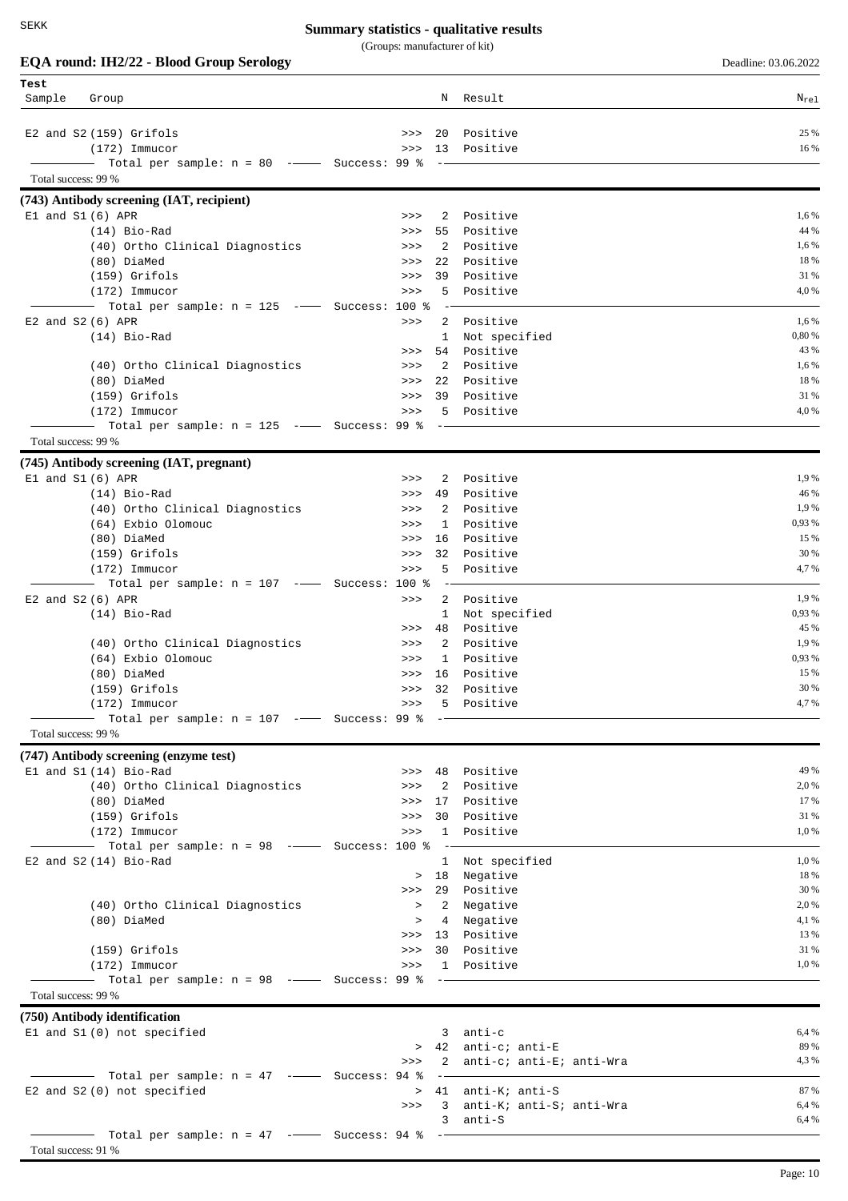|                     | EQA round: IH2/22 - Blood Group Serology                                                                                                                                                                                                                                                                                                                                                                                                                                        |                    |                            | Deadline: 03.06.2022 |
|---------------------|---------------------------------------------------------------------------------------------------------------------------------------------------------------------------------------------------------------------------------------------------------------------------------------------------------------------------------------------------------------------------------------------------------------------------------------------------------------------------------|--------------------|----------------------------|----------------------|
| Test<br>Sample      | Group                                                                                                                                                                                                                                                                                                                                                                                                                                                                           | N                  | Result                     | $N_{re1}$            |
|                     | E2 and S2 (159) Grifols                                                                                                                                                                                                                                                                                                                                                                                                                                                         | 20<br>>>           | Positive                   | 25 %                 |
|                     | $(172)$ Immucor                                                                                                                                                                                                                                                                                                                                                                                                                                                                 | 13<br>>>           | Positive                   | 16 %                 |
|                     | Total per sample: $n = 80$ -- Success: 99 %                                                                                                                                                                                                                                                                                                                                                                                                                                     |                    |                            |                      |
| Total success: 99 % |                                                                                                                                                                                                                                                                                                                                                                                                                                                                                 |                    |                            |                      |
|                     | (743) Antibody screening (IAT, recipient)                                                                                                                                                                                                                                                                                                                                                                                                                                       |                    |                            |                      |
|                     | $E1$ and $S1(6)$ APR                                                                                                                                                                                                                                                                                                                                                                                                                                                            | 2<br>>>            | Positive                   | 1,6 %                |
|                     | $(14)$ Bio-Rad                                                                                                                                                                                                                                                                                                                                                                                                                                                                  | 55<br>>>           | Positive                   | 44 %                 |
|                     | (40) Ortho Clinical Diagnostics                                                                                                                                                                                                                                                                                                                                                                                                                                                 | 2<br>>><br>22      | Positive<br>Positive       | 1,6 %<br>18 %        |
|                     | (80) DiaMed<br>$(159)$ Grifols                                                                                                                                                                                                                                                                                                                                                                                                                                                  | >><br>39<br>>>     | Positive                   | 31 %                 |
|                     | $(172)$ Immucor                                                                                                                                                                                                                                                                                                                                                                                                                                                                 | 5<br>>>            | Positive                   | 4,0 %                |
|                     | - Total per sample: n = 125 --- Success:                                                                                                                                                                                                                                                                                                                                                                                                                                        | $100$ %            |                            |                      |
|                     | E2 and S2 (6) APR                                                                                                                                                                                                                                                                                                                                                                                                                                                               | 2<br>>>            | Positive                   | 1,6 %                |
|                     | $(14)$ Bio-Rad                                                                                                                                                                                                                                                                                                                                                                                                                                                                  | 1                  | Not specified              | 0,80 %               |
|                     |                                                                                                                                                                                                                                                                                                                                                                                                                                                                                 | 54<br>>>           | Positive                   | 43 %                 |
|                     | (40) Ortho Clinical Diagnostics                                                                                                                                                                                                                                                                                                                                                                                                                                                 | 2<br>>>            | Positive                   | 1,6 %                |
|                     | (80) DiaMed                                                                                                                                                                                                                                                                                                                                                                                                                                                                     | 22<br>>>           | Positive                   | 18 %                 |
|                     | $(159)$ Grifols                                                                                                                                                                                                                                                                                                                                                                                                                                                                 | 39<br>>>           | Positive                   | 31 %                 |
|                     | $(172)$ Immucor                                                                                                                                                                                                                                                                                                                                                                                                                                                                 | 5<br>>>            | Positive                   | 4,0 %                |
| Total success: 99 % | Total per sample: $n = 125$ -- Success: 99 %                                                                                                                                                                                                                                                                                                                                                                                                                                    |                    |                            |                      |
|                     | (745) Antibody screening (IAT, pregnant)                                                                                                                                                                                                                                                                                                                                                                                                                                        |                    |                            |                      |
|                     | $E1$ and $S1(6)$ APR                                                                                                                                                                                                                                                                                                                                                                                                                                                            | 2<br>>>            | Positive                   | 1,9%                 |
|                     | $(14)$ Bio-Rad                                                                                                                                                                                                                                                                                                                                                                                                                                                                  | 49<br>>>           | Positive                   | 46 %                 |
|                     | (40) Ortho Clinical Diagnostics                                                                                                                                                                                                                                                                                                                                                                                                                                                 | 2<br>>>            | Positive                   | 1,9 %                |
|                     | (64) Exbio Olomouc                                                                                                                                                                                                                                                                                                                                                                                                                                                              | $\mathbf{1}$<br>>> | Positive                   | 0,93 %               |
|                     | (80) DiaMed                                                                                                                                                                                                                                                                                                                                                                                                                                                                     | 16<br>>>           | Positive                   | 15 %                 |
|                     | $(159)$ Grifols                                                                                                                                                                                                                                                                                                                                                                                                                                                                 | 32<br>>>           | Positive                   | 30 %                 |
|                     | $(172)$ Immucor                                                                                                                                                                                                                                                                                                                                                                                                                                                                 | 5.<br>>>           | Positive                   | 4,7%                 |
|                     | Total per sample: $n = 107$ -- Success: 100 %                                                                                                                                                                                                                                                                                                                                                                                                                                   |                    |                            |                      |
|                     | E2 and S2 (6) APR                                                                                                                                                                                                                                                                                                                                                                                                                                                               | 2<br>>>            | Positive                   | 1,9 %                |
|                     | $(14)$ Bio-Rad                                                                                                                                                                                                                                                                                                                                                                                                                                                                  | 1<br>48            | Not specified<br>Positive  | 0,93 %<br>45 %       |
|                     | (40) Ortho Clinical Diagnostics                                                                                                                                                                                                                                                                                                                                                                                                                                                 | >><br>2<br>>>      | Positive                   | 1,9 %                |
|                     | (64) Exbio Olomouc                                                                                                                                                                                                                                                                                                                                                                                                                                                              | $\mathbf{1}$<br>>> | Positive                   | 0,93 %               |
|                     | (80) DiaMed                                                                                                                                                                                                                                                                                                                                                                                                                                                                     | >> 16              | Positive                   | 15 %                 |
|                     | (159) Grifols                                                                                                                                                                                                                                                                                                                                                                                                                                                                   | >>>                | 32 Positive                | 30 %                 |
|                     | $(172)$ Immucor                                                                                                                                                                                                                                                                                                                                                                                                                                                                 | >>>                | 5 Positive                 | 4,7%                 |
|                     |                                                                                                                                                                                                                                                                                                                                                                                                                                                                                 |                    |                            |                      |
| Total success: 99 % |                                                                                                                                                                                                                                                                                                                                                                                                                                                                                 |                    |                            |                      |
|                     | (747) Antibody screening (enzyme test)                                                                                                                                                                                                                                                                                                                                                                                                                                          |                    |                            |                      |
|                     | El and S1 (14) Bio-Rad                                                                                                                                                                                                                                                                                                                                                                                                                                                          |                    | >>> 48 Positive            | 49 %                 |
|                     | (40) Ortho Clinical Diagnostics                                                                                                                                                                                                                                                                                                                                                                                                                                                 |                    | >>> 2 Positive             | 2,0 %                |
|                     | (80) DiaMed                                                                                                                                                                                                                                                                                                                                                                                                                                                                     |                    | >>> 17 Positive            | 17 %                 |
|                     | (159) Grifols                                                                                                                                                                                                                                                                                                                                                                                                                                                                   | >>                 | 30 Positive                | 31 %                 |
|                     | $(172)$ Immucor<br>$\overline{\phantom{0}}$ Total per sample: n = 98 - $\overline{\phantom{0}}$ Success: 100 %                                                                                                                                                                                                                                                                                                                                                                  | >><br>$\sim$ $-$   | 1 Positive                 | 1,0 %                |
|                     | E2 and $S2(14)$ Bio-Rad                                                                                                                                                                                                                                                                                                                                                                                                                                                         |                    | 1 Not specified            | 1,0%                 |
|                     |                                                                                                                                                                                                                                                                                                                                                                                                                                                                                 |                    | > 18 Negative              | 18 %                 |
|                     |                                                                                                                                                                                                                                                                                                                                                                                                                                                                                 |                    | >>> 29 Positive            | 30 %                 |
|                     | (40) Ortho Clinical Diagnostics                                                                                                                                                                                                                                                                                                                                                                                                                                                 |                    | > 2 Negative               | 2,0 %                |
|                     | (80) DiaMed                                                                                                                                                                                                                                                                                                                                                                                                                                                                     | $\geq$             | 4 Negative                 | 4,1 %                |
|                     |                                                                                                                                                                                                                                                                                                                                                                                                                                                                                 |                    | >>> 13 Positive            | 13 %                 |
|                     | $(159)$ Grifols                                                                                                                                                                                                                                                                                                                                                                                                                                                                 |                    | >>> 30 Positive            | 31 %                 |
|                     | $(172)$ Immucor                                                                                                                                                                                                                                                                                                                                                                                                                                                                 |                    | >>> 1 Positive             | 1,0 %                |
| Total success: 99 % |                                                                                                                                                                                                                                                                                                                                                                                                                                                                                 |                    |                            |                      |
|                     | (750) Antibody identification                                                                                                                                                                                                                                                                                                                                                                                                                                                   |                    |                            |                      |
|                     | El and S1 (0) not specified                                                                                                                                                                                                                                                                                                                                                                                                                                                     |                    | $3$ anti-c                 | 6,4 %                |
|                     |                                                                                                                                                                                                                                                                                                                                                                                                                                                                                 |                    | > 42 anti-c; anti-E        | 89 %                 |
|                     |                                                                                                                                                                                                                                                                                                                                                                                                                                                                                 | >>>                | 2 anti-c; anti-E; anti-Wra | 4,3 %                |
|                     | $\overline{\phantom{1}}$ $\overline{\phantom{1}}$ $\overline{\phantom{1}}$ $\overline{\phantom{1}}$ $\overline{\phantom{1}}$ $\overline{\phantom{1}}$ $\overline{\phantom{1}}$ $\overline{\phantom{1}}$ $\overline{\phantom{1}}$ $\overline{\phantom{1}}$ $\overline{\phantom{1}}$ $\overline{\phantom{1}}$ $\overline{\phantom{1}}$ $\overline{\phantom{1}}$ $\overline{\phantom{1}}$ $\overline{\phantom{1}}$ $\overline{\phantom{1}}$ $\overline{\phantom{1}}$ $\overline{\$ | $\qquad \qquad -$  |                            |                      |
|                     | E2 and S2 (0) not specified                                                                                                                                                                                                                                                                                                                                                                                                                                                     |                    | > 41 anti-K; anti-S        | 87 %                 |
|                     |                                                                                                                                                                                                                                                                                                                                                                                                                                                                                 | >>                 | 3 anti-K; anti-S; anti-Wra | 6,4 %                |
|                     |                                                                                                                                                                                                                                                                                                                                                                                                                                                                                 |                    | 3 anti-S                   | 6,4 %                |
|                     |                                                                                                                                                                                                                                                                                                                                                                                                                                                                                 |                    |                            |                      |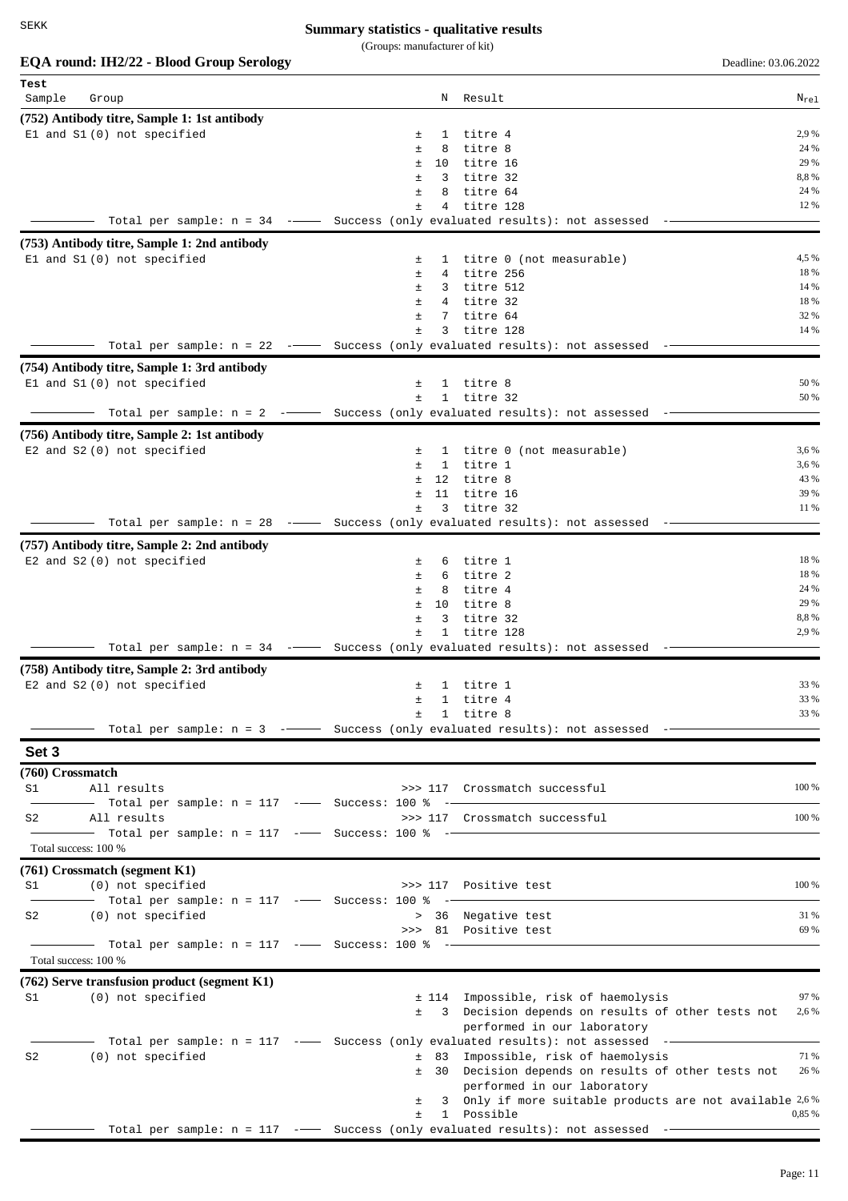#### **Summary statistics - qualitative results**

(Groups: manufacturer of kit)

| EQA round: IH2/22 - Blood Group Serology                                            |             |              |                         | Deadline: 03.06.2022                                                                       |              |
|-------------------------------------------------------------------------------------|-------------|--------------|-------------------------|--------------------------------------------------------------------------------------------|--------------|
| Test                                                                                |             |              |                         |                                                                                            |              |
| Sample<br>Group                                                                     |             |              | N Result                |                                                                                            | $N_{re1}$    |
| (752) Antibody titre, Sample 1: 1st antibody                                        |             |              |                         |                                                                                            |              |
| El and S1 (0) not specified                                                         | 士           | 1            | titre 4                 |                                                                                            | 2,9 %        |
|                                                                                     | Ŧ           | 8            | titre 8                 |                                                                                            | 24 %         |
|                                                                                     | ±.<br>$\pm$ |              | 10 titre 16             |                                                                                            | 29 %<br>8,8% |
|                                                                                     | Ŧ           | 3<br>8       | titre 32<br>titre 64    |                                                                                            | 24 %         |
|                                                                                     | Ŧ           | 4            | titre 128               |                                                                                            | 12 %         |
| Total per sample: $n = 34$ --- Success (only evaluated results): not assessed       |             |              |                         |                                                                                            |              |
| (753) Antibody titre, Sample 1: 2nd antibody                                        |             |              |                         |                                                                                            |              |
| El and S1 (0) not specified                                                         | 士           |              |                         | 1 titre 0 (not measurable)                                                                 | 4,5 %        |
|                                                                                     | 士           |              | 4 titre 256             |                                                                                            | 18 %         |
|                                                                                     | Ŧ.          |              | 3 titre 512             |                                                                                            | 14 %         |
|                                                                                     | Ŧ.          |              | 4 titre 32              |                                                                                            | 18 %         |
|                                                                                     | Ŧ           | 7            | titre 64                |                                                                                            | 32 %         |
| Total per sample: $n = 22$ -- Success (only evaluated results): not assessed        | Ŧ.          | 3            | titre 128               |                                                                                            | 14 %         |
|                                                                                     |             |              |                         |                                                                                            |              |
| (754) Antibody titre, Sample 1: 3rd antibody                                        |             |              |                         |                                                                                            |              |
| El and S1 (0) not specified                                                         | 土<br>$\pm$  |              | 1 titre 8<br>1 titre 32 |                                                                                            | 50 %<br>50 % |
| Total per sample: $n = 2$ - Success (only evaluated results): not assessed          |             |              |                         |                                                                                            |              |
|                                                                                     |             |              |                         |                                                                                            |              |
| (756) Antibody titre, Sample 2: 1st antibody<br>E2 and S2 (0) not specified         | $\pm$       |              |                         | 1 titre 0 (not measurable)                                                                 | 3,6 %        |
|                                                                                     | ±.          |              | 1 titre 1               |                                                                                            | 3,6 %        |
|                                                                                     | $\pm$       |              | 12 titre 8              |                                                                                            | 43 %         |
|                                                                                     | Ŧ.          | 11           | titre 16                |                                                                                            | 39 %         |
|                                                                                     | Ŧ.          |              | 3 titre 32              |                                                                                            | 11 %         |
| —— Total per sample: n = 28 -——— Success (only evaluated results): not assessed     |             |              |                         |                                                                                            |              |
| (757) Antibody titre, Sample 2: 2nd antibody                                        |             |              |                         |                                                                                            |              |
| E2 and S2 (0) not specified                                                         | 土           |              | 6 titre 1               |                                                                                            | 18 %         |
|                                                                                     | ±.          |              | 6 titre 2               |                                                                                            | 18 %         |
|                                                                                     | ±           |              | 8 titre 4               |                                                                                            | 24 %         |
|                                                                                     | Ŧ           | 10           | titre 8                 |                                                                                            | 29 %         |
|                                                                                     | ±           | 3            | titre 32                |                                                                                            | 8,8%         |
| Total per sample: $n = 34$ -- Success (only evaluated results): not assessed        | ±           | $\mathbf{1}$ | titre 128               |                                                                                            | 2,9 %        |
|                                                                                     |             |              |                         |                                                                                            |              |
| (758) Antibody titre, Sample 2: 3rd antibody                                        |             |              |                         |                                                                                            |              |
| E2 and S2 (0) not specified                                                         | ±           |              | 1 titre 1               |                                                                                            | 33 %<br>33 % |
|                                                                                     | ±.<br>$\pm$ |              | 1 titre 4<br>1 titre 8  |                                                                                            | 33 %         |
| —— Total per sample: n = 3  -——— Success (only evaluated results): not assessed  -— |             |              |                         |                                                                                            |              |
| Set 3                                                                               |             |              |                         |                                                                                            |              |
|                                                                                     |             |              |                         |                                                                                            |              |
| (760) Crossmatch<br>S1<br>All results                                               |             |              |                         | >>> 117 Crossmatch successful                                                              | 100 %        |
| -- Total per sample: n = 117 ---- Success: 100 % --                                 |             |              |                         |                                                                                            |              |
| All results<br>S2                                                                   |             |              |                         | >>> 117 Crossmatch successful                                                              | 100 %        |
|                                                                                     |             |              |                         |                                                                                            |              |
| Total success: 100 %                                                                |             |              |                         |                                                                                            |              |
| (761) Crossmatch (segment K1)                                                       |             |              |                         |                                                                                            |              |
| (0) not specified<br>S1                                                             |             |              |                         | >>> 117 Positive test                                                                      | 100 %        |
| - Total per sample: $n = 117$ -- Success: 100 % --                                  |             |              |                         |                                                                                            |              |
| (0) not specified<br>S2                                                             |             |              |                         | > 36 Negative test                                                                         | 31 %         |
|                                                                                     |             |              |                         | >>> 81 Positive test                                                                       | 69 %         |
|                                                                                     |             |              |                         |                                                                                            |              |
| Total success: 100 %                                                                |             |              |                         |                                                                                            |              |
| (762) Serve transfusion product (segment K1)                                        |             |              |                         |                                                                                            |              |
| (0) not specified<br>S1                                                             |             |              |                         | ± 114 Impossible, risk of haemolysis                                                       | 97 %         |
|                                                                                     |             |              |                         | ± 3 Decision depends on results of other tests not                                         | 2,6 %        |
|                                                                                     |             |              |                         | performed in our laboratory                                                                |              |
| Total per sample: $n = 117$ -- Success (only evaluated results): not assessed --    |             |              |                         |                                                                                            | 71 %         |
| (0) not specified<br>S2                                                             |             |              |                         | ± 83 Impossible, risk of haemolysis<br>± 30 Decision depends on results of other tests not | 26 %         |

performed in our laboratory

 $± 1$  Possible

Total per sample:  $n = 117$  -- Success (only evaluated results): not assessed --

± 3 Only if more suitable products are not available 2,6 %